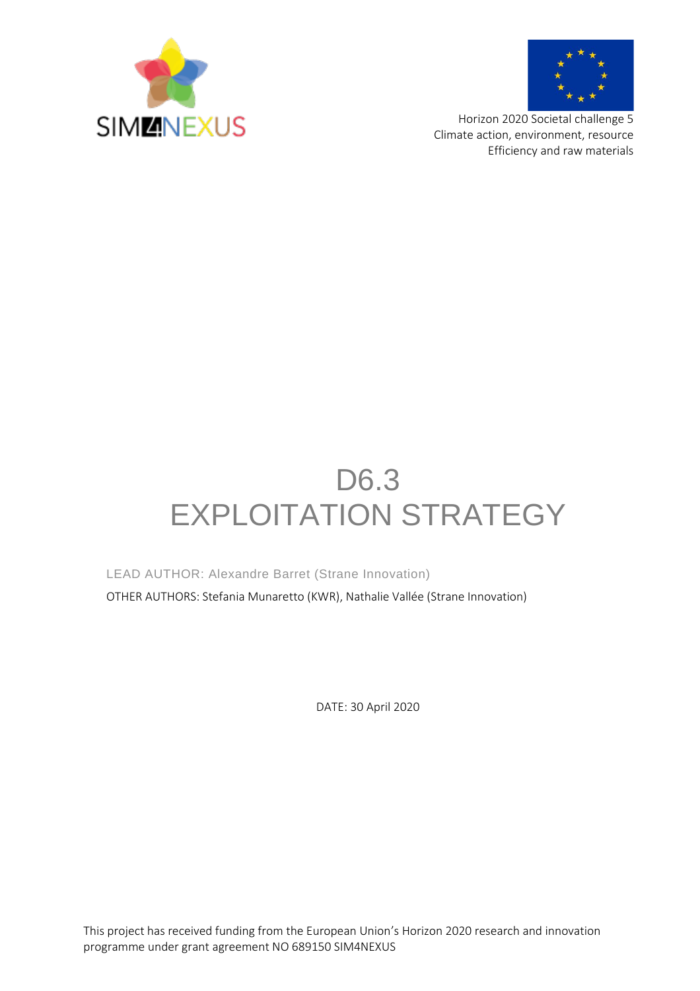



Horizon 2020 Societal challenge 5 Climate action, environment, resource Efficiency and raw materials

# D6.3 EXPLOITATION STRATEGY

LEAD AUTHOR: Alexandre Barret (Strane Innovation)

OTHER AUTHORS: Stefania Munaretto (KWR), Nathalie Vallée (Strane Innovation)

DATE: 30 April 2020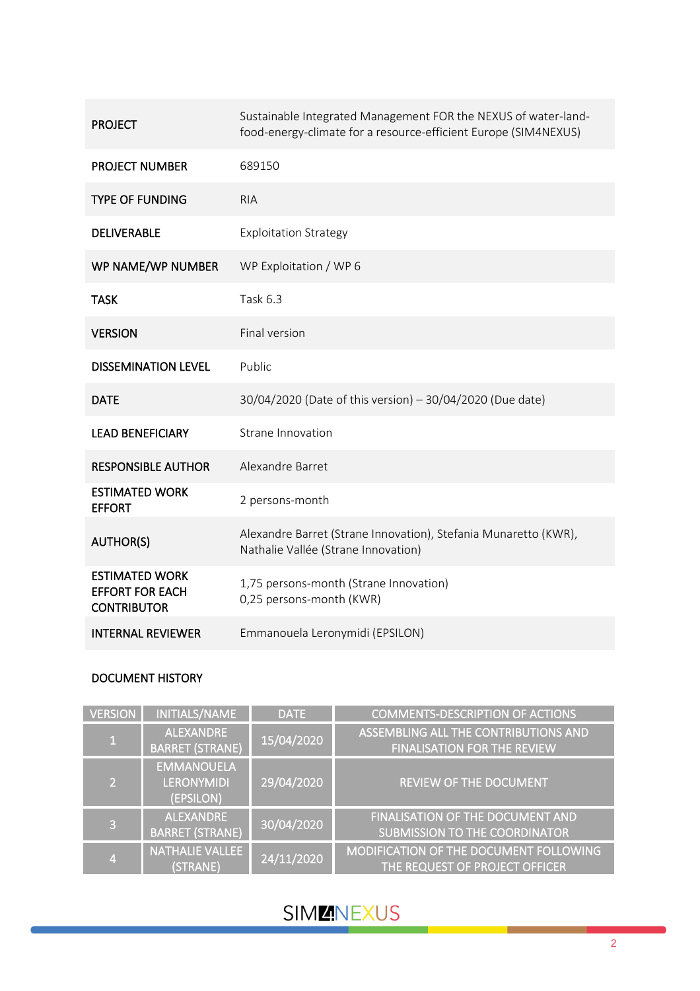| <b>PROJECT</b>                                                        | Sustainable Integrated Management FOR the NEXUS of water-land-<br>food-energy-climate for a resource-efficient Europe (SIM4NEXUS) |
|-----------------------------------------------------------------------|-----------------------------------------------------------------------------------------------------------------------------------|
| <b>PROJECT NUMBER</b>                                                 | 689150                                                                                                                            |
| <b>TYPE OF FUNDING</b>                                                | <b>RIA</b>                                                                                                                        |
| <b>DELIVERABLE</b>                                                    | <b>Exploitation Strategy</b>                                                                                                      |
| WP NAME/WP NUMBER                                                     | WP Exploitation / WP 6                                                                                                            |
| <b>TASK</b>                                                           | Task 6.3                                                                                                                          |
| <b>VERSION</b>                                                        | <b>Final version</b>                                                                                                              |
| <b>DISSEMINATION LEVEL</b>                                            | Public                                                                                                                            |
| <b>DATE</b>                                                           | 30/04/2020 (Date of this version) - 30/04/2020 (Due date)                                                                         |
| <b>LEAD BENEFICIARY</b>                                               | Strane Innovation                                                                                                                 |
| <b>RESPONSIBLE AUTHOR</b>                                             | Alexandre Barret                                                                                                                  |
| <b>ESTIMATED WORK</b><br><b>EFFORT</b>                                | 2 persons-month                                                                                                                   |
| <b>AUTHOR(S)</b>                                                      | Alexandre Barret (Strane Innovation), Stefania Munaretto (KWR),<br>Nathalie Vallée (Strane Innovation)                            |
| <b>ESTIMATED WORK</b><br><b>EFFORT FOR EACH</b><br><b>CONTRIBUTOR</b> | 1,75 persons-month (Strane Innovation)<br>0,25 persons-month (KWR)                                                                |
| <b>INTERNAL REVIEWER</b>                                              | Emmanouela Leronymidi (EPSILON)                                                                                                   |

### DOCUMENT HISTORY

| <b>VERSION</b> | INITIALS/NAME                                       | <b>DATE</b> | <b>COMMENTS-DESCRIPTION OF ACTIONS</b>                                          |
|----------------|-----------------------------------------------------|-------------|---------------------------------------------------------------------------------|
| $\mathbf{1}$   | <b>ALEXANDRE</b><br><b>BARRET (STRANE)</b>          | 15/04/2020  | ASSEMBLING ALL THE CONTRIBUTIONS AND<br><b>FINALISATION FOR THE REVIEW</b>      |
| $\overline{2}$ | <b>EMMANOUELA</b><br><b>LERONYMIDI</b><br>(EPSILON) | 29/04/2020  | <b>REVIEW OF THE DOCUMENT</b>                                                   |
| 3              | <b>ALEXANDRE</b><br><b>BARRET (STRANE)</b>          | 30/04/2020  | FINALISATION OF THE DOCUMENT AND<br>SUBMISSION TO THE COORDINATOR               |
| $\overline{4}$ | <b>NATHALIE VALLEE</b><br>(STRANE)                  | 24/11/2020  | <b>MODIFICATION OF THE DOCUMENT FOLLOWING</b><br>THE REQUEST OF PROJECT OFFICER |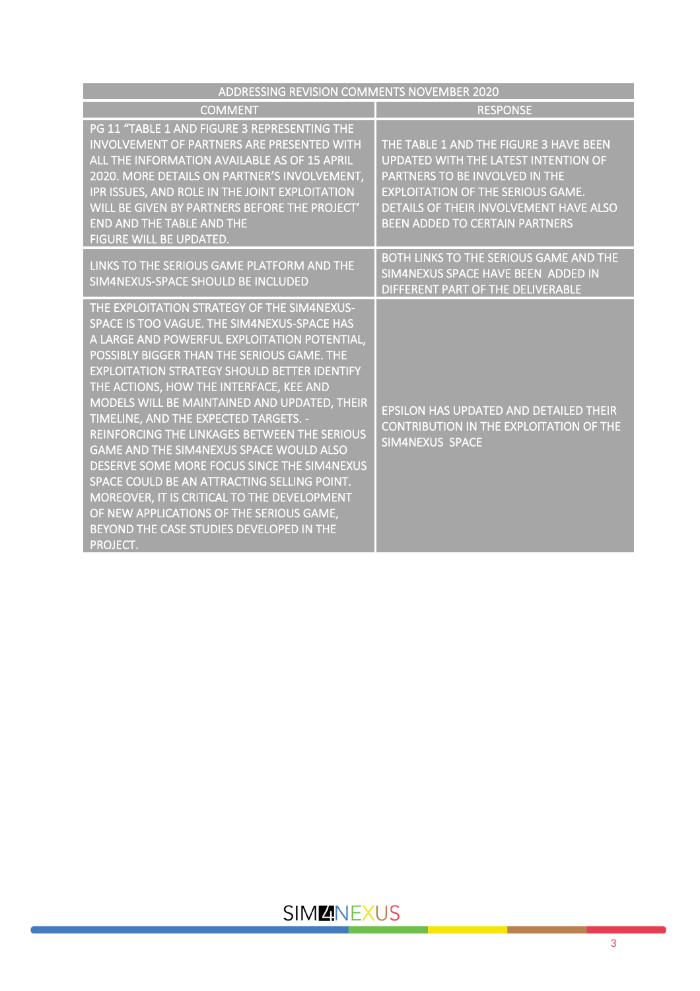| ADDRESSING REVISION COMMENTS NOVEMBER 2020                                                                                                                                                                                                                                                                                                                                                                                                                                                                                                                                                                                                                                                                                             |                                                                                                                                                                                                                                                        |
|----------------------------------------------------------------------------------------------------------------------------------------------------------------------------------------------------------------------------------------------------------------------------------------------------------------------------------------------------------------------------------------------------------------------------------------------------------------------------------------------------------------------------------------------------------------------------------------------------------------------------------------------------------------------------------------------------------------------------------------|--------------------------------------------------------------------------------------------------------------------------------------------------------------------------------------------------------------------------------------------------------|
| <b>COMMENT</b>                                                                                                                                                                                                                                                                                                                                                                                                                                                                                                                                                                                                                                                                                                                         | <b>RESPONSE</b>                                                                                                                                                                                                                                        |
| PG 11 "TABLE 1 AND FIGURE 3 REPRESENTING THE<br><b>INVOLVEMENT OF PARTNERS ARE PRESENTED WITH</b><br>ALL THE INFORMATION AVAILABLE AS OF 15 APRIL<br>2020. MORE DETAILS ON PARTNER'S INVOLVEMENT,<br>IPR ISSUES, AND ROLE IN THE JOINT EXPLOITATION<br>WILL BE GIVEN BY PARTNERS BEFORE THE PROJECT'<br><b>END AND THE TABLE AND THE</b><br><b>FIGURE WILL BE UPDATED.</b>                                                                                                                                                                                                                                                                                                                                                             | THE TABLE 1 AND THE FIGURE 3 HAVE BEEN<br><b>UPDATED WITH THE LATEST INTENTION OF</b><br>PARTNERS TO BE INVOLVED IN THE<br><b>EXPLOITATION OF THE SERIOUS GAME.</b><br>DETAILS OF THEIR INVOLVEMENT HAVE ALSO<br><b>BEEN ADDED TO CERTAIN PARTNERS</b> |
| LINKS TO THE SERIOUS GAME PLATFORM AND THE<br>SIM4NEXUS-SPACE SHOULD BE INCLUDED                                                                                                                                                                                                                                                                                                                                                                                                                                                                                                                                                                                                                                                       | BOTH LINKS TO THE SERIOUS GAME AND THE<br>SIM4NEXUS SPACE HAVE BEEN ADDED IN<br>DIFFERENT PART OF THE DELIVERABLE                                                                                                                                      |
| THE EXPLOITATION STRATEGY OF THE SIM4NEXUS-<br>SPACE IS TOO VAGUE. THE SIM4NEXUS-SPACE HAS<br>A LARGE AND POWERFUL EXPLOITATION POTENTIAL,<br>POSSIBLY BIGGER THAN THE SERIOUS GAME. THE<br><b>EXPLOITATION STRATEGY SHOULD BETTER IDENTIFY</b><br>THE ACTIONS, HOW THE INTERFACE, KEE AND<br>MODELS WILL BE MAINTAINED AND UPDATED, THEIR<br>TIMELINE, AND THE EXPECTED TARGETS. -<br>REINFORCING THE LINKAGES BETWEEN THE SERIOUS<br><b>GAME AND THE SIM4NEXUS SPACE WOULD ALSO</b><br>DESERVE SOME MORE FOCUS SINCE THE SIM4NEXUS<br>SPACE COULD BE AN ATTRACTING SELLING POINT.<br>MOREOVER, IT IS CRITICAL TO THE DEVELOPMENT<br>OF NEW APPLICATIONS OF THE SERIOUS GAME,<br>BEYOND THE CASE STUDIES DEVELOPED IN THE<br>PROJECT. | <b>EPSILON HAS UPDATED AND DETAILED THEIR</b><br><b>CONTRIBUTION IN THE EXPLOITATION OF THE</b><br><b>SIM4NEXUS SPACE</b>                                                                                                                              |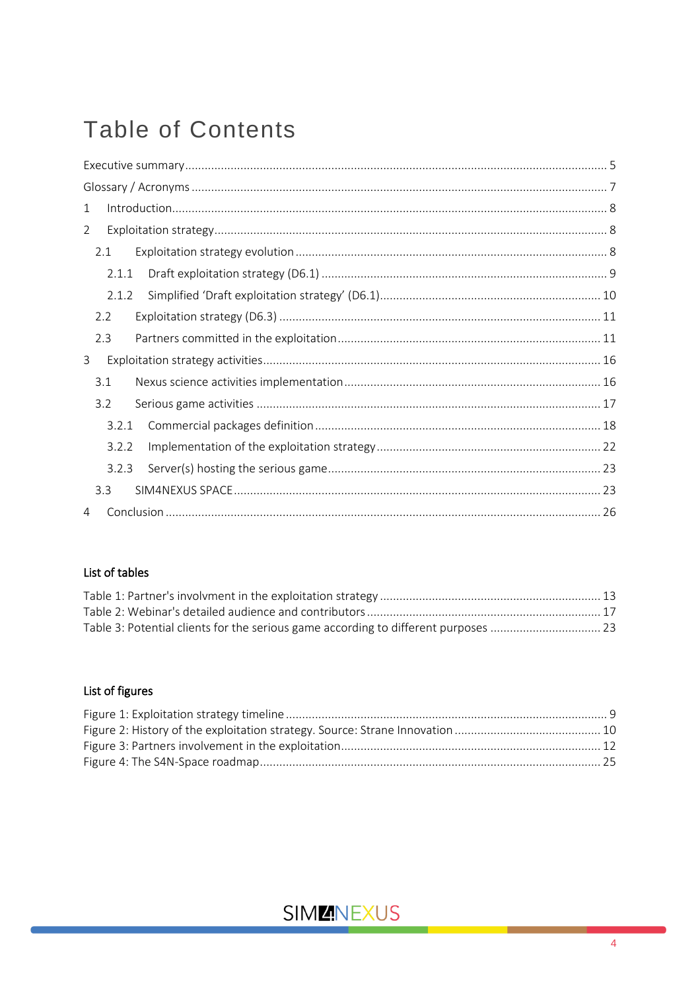# **Table of Contents**

| $\mathbf{1}$   |       |  |
|----------------|-------|--|
| $\overline{2}$ |       |  |
|                | 2.1   |  |
|                | 2.1.1 |  |
|                | 2.1.2 |  |
|                | 2.2   |  |
|                | 2.3   |  |
| 3              |       |  |
|                | 3.1   |  |
|                | 3.2   |  |
|                | 3.2.1 |  |
|                | 3.2.2 |  |
|                | 3.2.3 |  |
|                | 3.3   |  |
| 4              |       |  |

### List of tables

### List of figures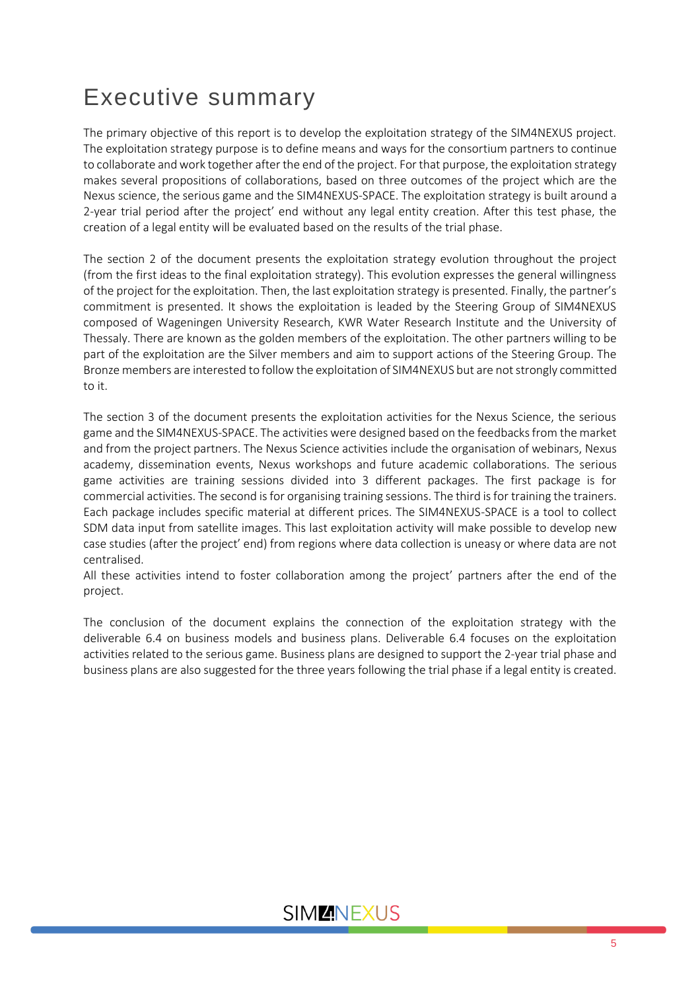# <span id="page-4-0"></span>Executive summary

The primary objective of this report is to develop the exploitation strategy of the SIM4NEXUS project. The exploitation strategy purpose is to define means and ways for the consortium partners to continue to collaborate and work together after the end of the project. For that purpose, the exploitation strategy makes several propositions of collaborations, based on three outcomes of the project which are the Nexus science, the serious game and the SIM4NEXUS-SPACE. The exploitation strategy is built around a 2-year trial period after the project' end without any legal entity creation. After this test phase, the creation of a legal entity will be evaluated based on the results of the trial phase.

The section 2 of the document presents the exploitation strategy evolution throughout the project (from the first ideas to the final exploitation strategy). This evolution expresses the general willingness of the project for the exploitation. Then, the last exploitation strategy is presented. Finally, the partner's commitment is presented. It shows the exploitation is leaded by the Steering Group of SIM4NEXUS composed of Wageningen University Research, KWR Water Research Institute and the University of Thessaly. There are known as the golden members of the exploitation. The other partners willing to be part of the exploitation are the Silver members and aim to support actions of the Steering Group. The Bronze members are interested to follow the exploitation of SIM4NEXUS but are not strongly committed to it.

The section 3 of the document presents the exploitation activities for the Nexus Science, the serious game and the SIM4NEXUS-SPACE. The activities were designed based on the feedbacks from the market and from the project partners. The Nexus Science activities include the organisation of webinars, Nexus academy, dissemination events, Nexus workshops and future academic collaborations. The serious game activities are training sessions divided into 3 different packages. The first package is for commercial activities. The second is for organising training sessions. The third is for training the trainers. Each package includes specific material at different prices. The SIM4NEXUS-SPACE is a tool to collect SDM data input from satellite images. This last exploitation activity will make possible to develop new case studies (after the project' end) from regions where data collection is uneasy or where data are not centralised.

All these activities intend to foster collaboration among the project' partners after the end of the project.

The conclusion of the document explains the connection of the exploitation strategy with the deliverable 6.4 on business models and business plans. Deliverable 6.4 focuses on the exploitation activities related to the serious game. Business plans are designed to support the 2-year trial phase and business plans are also suggested for the three years following the trial phase if a legal entity is created.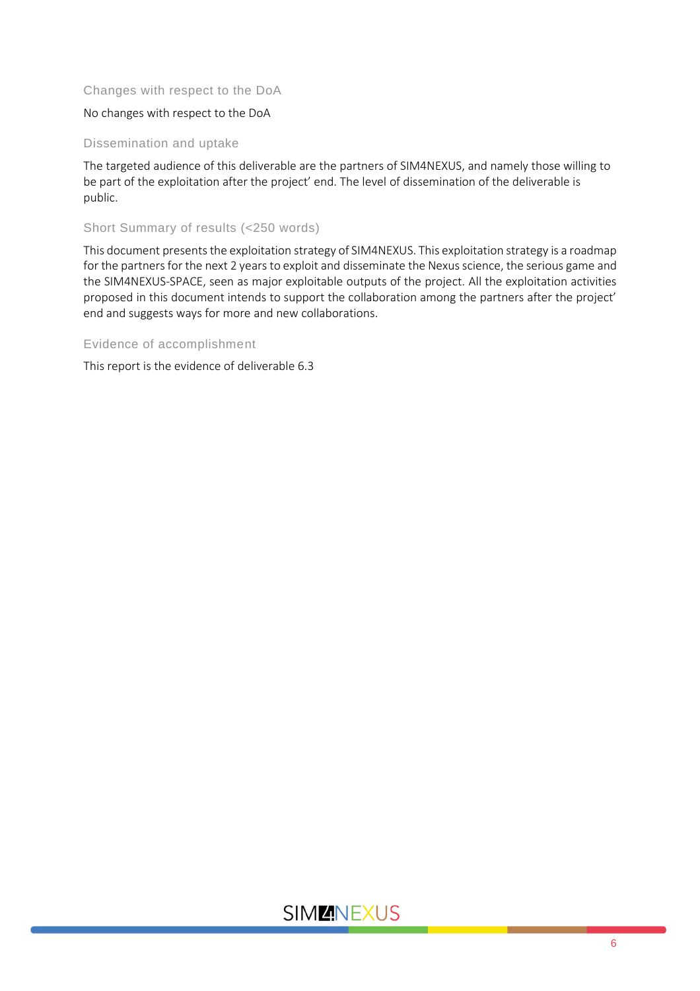### Changes with respect to the DoA

### No changes with respect to the DoA

#### Dissemination and uptake

The targeted audience of this deliverable are the partners of SIM4NEXUS, and namely those willing to be part of the exploitation after the project' end. The level of dissemination of the deliverable is public.

### Short Summary of results (<250 words)

This document presents the exploitation strategy of SIM4NEXUS. This exploitation strategy is a roadmap for the partners for the next 2 years to exploit and disseminate the Nexus science, the serious game and the SIM4NEXUS-SPACE, seen as major exploitable outputs of the project. All the exploitation activities proposed in this document intends to support the collaboration among the partners after the project' end and suggests ways for more and new collaborations.

#### Evidence of accomplishment

This report is the evidence of deliverable 6.3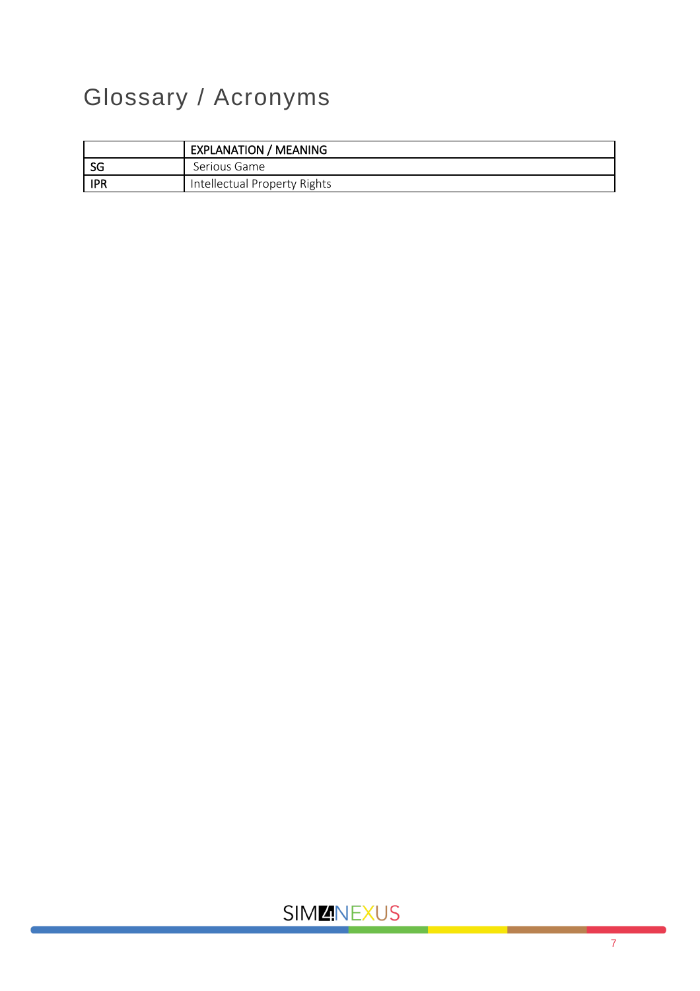# <span id="page-6-0"></span>Glossary / Acronyms

|            | <b>EXPLANATION / MEANING</b> |
|------------|------------------------------|
| SG         | Serious Game                 |
| <b>IPR</b> | Intellectual Property Rights |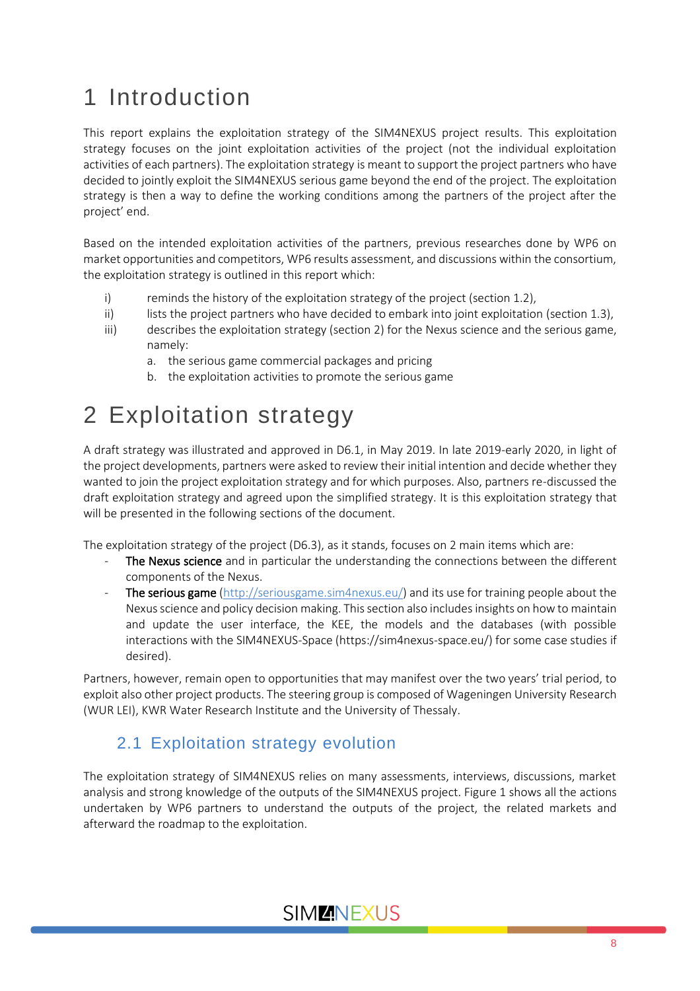# <span id="page-7-0"></span>1 Introduction

This report explains the exploitation strategy of the SIM4NEXUS project results. This exploitation strategy focuses on the joint exploitation activities of the project (not the individual exploitation activities of each partners). The exploitation strategy is meant to support the project partners who have decided to jointly exploit the SIM4NEXUS serious game beyond the end of the project. The exploitation strategy is then a way to define the working conditions among the partners of the project after the project' end.

Based on the intended exploitation activities of the partners, previous researches done by WP6 on market opportunities and competitors, WP6 results assessment, and discussions within the consortium, the exploitation strategy is outlined in this report which:

- i) reminds the history of the exploitation strategy of the project (section 1.2),
- ii) lists the project partners who have decided to embark into joint exploitation (section 1.3),
- iii) describes the exploitation strategy (section 2) for the Nexus science and the serious game, namely:
	- a. the serious game commercial packages and pricing
	- b. the exploitation activities to promote the serious game

# <span id="page-7-1"></span>2 Exploitation strategy

A draft strategy was illustrated and approved in D6.1, in May 2019. In late 2019-early 2020, in light of the project developments, partners were asked to review their initial intention and decide whether they wanted to join the project exploitation strategy and for which purposes. Also, partners re-discussed the draft exploitation strategy and agreed upon the simplified strategy. It is this exploitation strategy that will be presented in the following sections of the document.

The exploitation strategy of the project (D6.3), as it stands, focuses on 2 main items which are:

- The Nexus science and in particular the understanding the connections between the different components of the Nexus.
- The serious game [\(http://seriousgame.sim4nexus.eu/\)](http://seriousgame.sim4nexus.eu/) and its use for training people about the Nexus science and policy decision making. This section also includes insights on how to maintain and update the user interface, the KEE, the models and the databases (with possible interactions with the SIM4NEXUS-Space (https://sim4nexus-space.eu/) for some case studies if desired).

Partners, however, remain open to opportunities that may manifest over the two years' trial period, to exploit also other project products. The steering group is composed of Wageningen University Research (WUR LEI), KWR Water Research Institute and the University of Thessaly.

### <span id="page-7-2"></span>2.1 Exploitation strategy evolution

The exploitation strategy of SIM4NEXUS relies on many assessments, interviews, discussions, market analysis and strong knowledge of the outputs of the SIM4NEXUS project. Figure 1 shows all the actions undertaken by WP6 partners to understand the outputs of the project, the related markets and afterward the roadmap to the exploitation.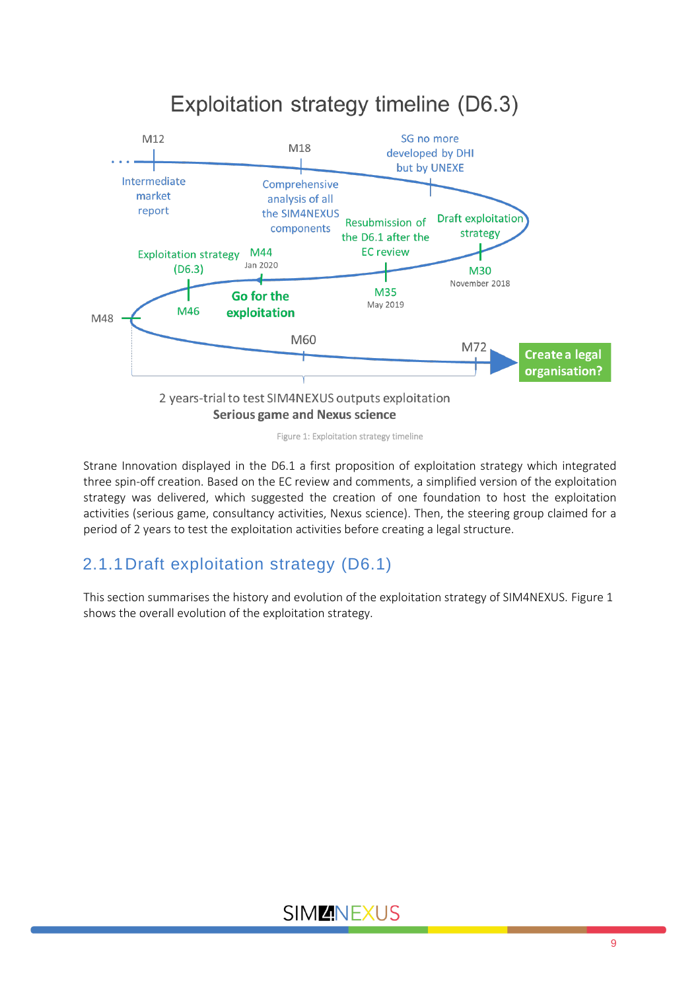

Figure 1: Exploitation strategy timeline

<span id="page-8-1"></span>Strane Innovation displayed in the D6.1 a first proposition of exploitation strategy which integrated three spin-off creation. Based on the EC review and comments, a simplified version of the exploitation strategy was delivered, which suggested the creation of one foundation to host the exploitation activities (serious game, consultancy activities, Nexus science). Then, the steering group claimed for a period of 2 years to test the exploitation activities before creating a legal structure.

### <span id="page-8-0"></span>2.1.1Draft exploitation strategy (D6.1)

This section summarises the history and evolution of the exploitation strategy of SIM4NEXUS. Figure 1 shows the overall evolution of the exploitation strategy.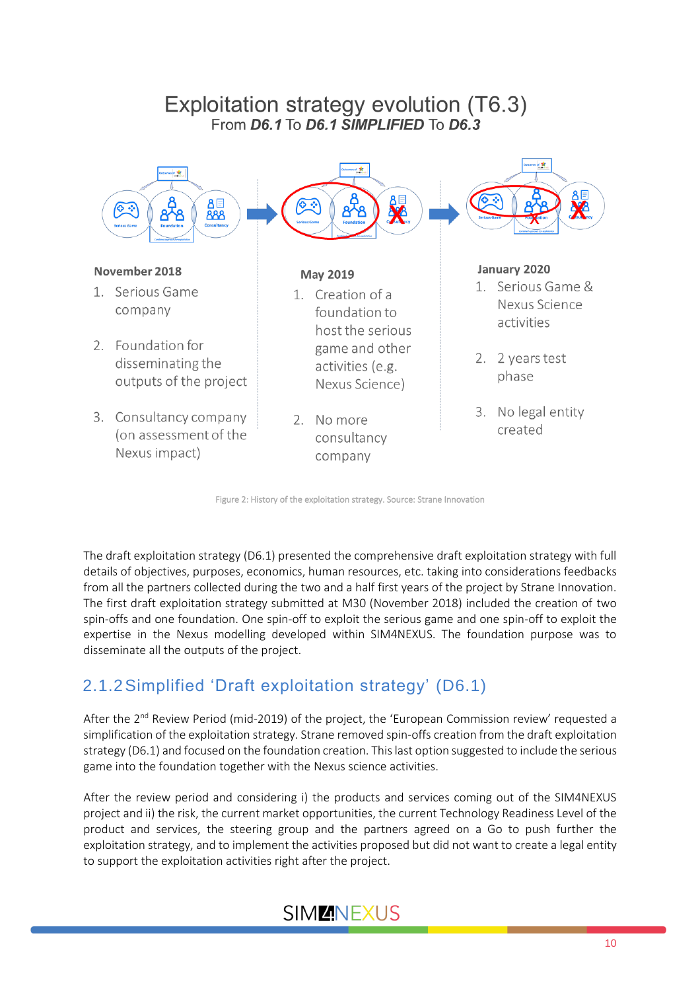### Exploitation strategy evolution (T6.3) From D6.1 To D6.1 SIMPLIFIED To D6.3



Figure 2: History of the exploitation strategy. Source: Strane Innovation

<span id="page-9-1"></span>The draft exploitation strategy (D6.1) presented the comprehensive draft exploitation strategy with full details of objectives, purposes, economics, human resources, etc. taking into considerations feedbacks from all the partners collected during the two and a half first years of the project by Strane Innovation. The first draft exploitation strategy submitted at M30 (November 2018) included the creation of two spin-offs and one foundation. One spin-off to exploit the serious game and one spin-off to exploit the expertise in the Nexus modelling developed within SIM4NEXUS. The foundation purpose was to disseminate all the outputs of the project.

## <span id="page-9-0"></span>2.1.2Simplified 'Draft exploitation strategy' (D6.1)

After the 2<sup>nd</sup> Review Period (mid-2019) of the project, the 'European Commission review' requested a simplification of the exploitation strategy. Strane removed spin-offs creation from the draft exploitation strategy (D6.1) and focused on the foundation creation. Thislast option suggested to include the serious game into the foundation together with the Nexus science activities.

After the review period and considering i) the products and services coming out of the SIM4NEXUS project and ii) the risk, the current market opportunities, the current Technology Readiness Level of the product and services, the steering group and the partners agreed on a Go to push further the exploitation strategy, and to implement the activities proposed but did not want to create a legal entity to support the exploitation activities right after the project.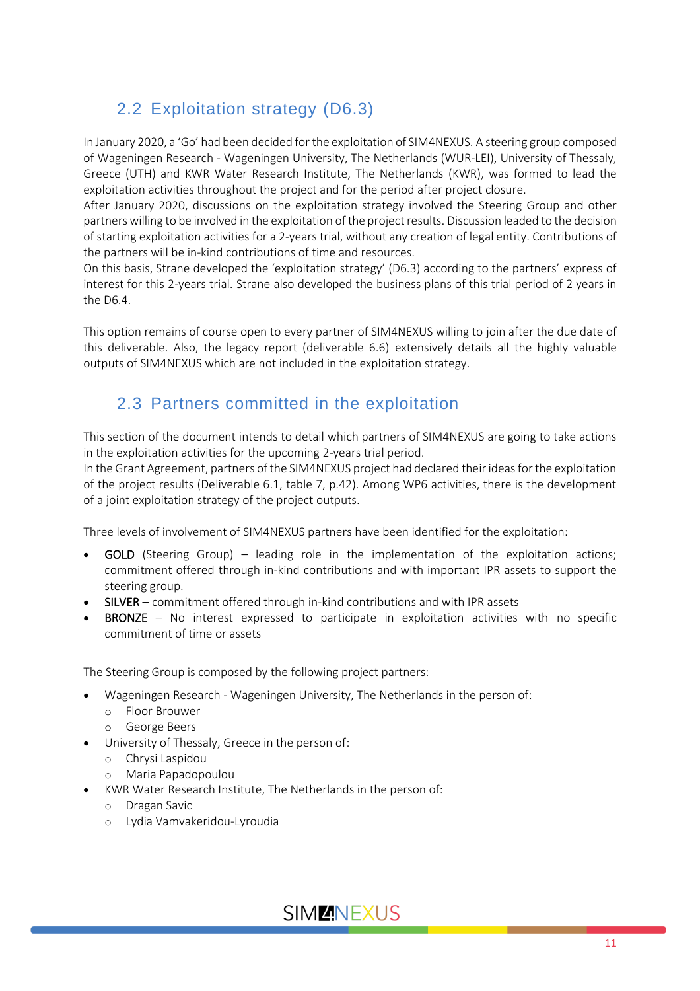### 2.2 Exploitation strategy (D6.3)

<span id="page-10-0"></span>In January 2020, a 'Go' had been decided for the exploitation of SIM4NEXUS. A steering group composed of Wageningen Research - Wageningen University, The Netherlands (WUR-LEI), University of Thessaly, Greece (UTH) and KWR Water Research Institute, The Netherlands (KWR), was formed to lead the exploitation activities throughout the project and for the period after project closure.

After January 2020, discussions on the exploitation strategy involved the Steering Group and other partners willing to be involved in the exploitation of the project results. Discussion leaded to the decision of starting exploitation activities for a 2-years trial, without any creation of legal entity. Contributions of the partners will be in-kind contributions of time and resources.

On this basis, Strane developed the 'exploitation strategy' (D6.3) according to the partners' express of interest for this 2-years trial. Strane also developed the business plans of this trial period of 2 years in the D6.4.

This option remains of course open to every partner of SIM4NEXUS willing to join after the due date of this deliverable. Also, the legacy report (deliverable 6.6) extensively details all the highly valuable outputs of SIM4NEXUS which are not included in the exploitation strategy.

### 2.3 Partners committed in the exploitation

<span id="page-10-1"></span>This section of the document intends to detail which partners of SIM4NEXUS are going to take actions in the exploitation activities for the upcoming 2-years trial period.

In the Grant Agreement, partners of the SIM4NEXUS project had declared their ideas for the exploitation of the project results (Deliverable 6.1, table 7, p.42). Among WP6 activities, there is the development of a joint exploitation strategy of the project outputs.

Three levels of involvement of SIM4NEXUS partners have been identified for the exploitation:

- **GOLD** (Steering Group) leading role in the implementation of the exploitation actions; commitment offered through in-kind contributions and with important IPR assets to support the steering group.
- SILVER commitment offered through in-kind contributions and with IPR assets
- **BRONZE** No interest expressed to participate in exploitation activities with no specific commitment of time or assets

The Steering Group is composed by the following project partners:

- Wageningen Research Wageningen University, The Netherlands in the person of:
	- o Floor Brouwer
	- o George Beers
- University of Thessaly, Greece in the person of:
	- o Chrysi Laspidou
	- o Maria Papadopoulou
- KWR Water Research Institute, The Netherlands in the person of:
	- o Dragan Savic
	- o Lydia Vamvakeridou-Lyroudia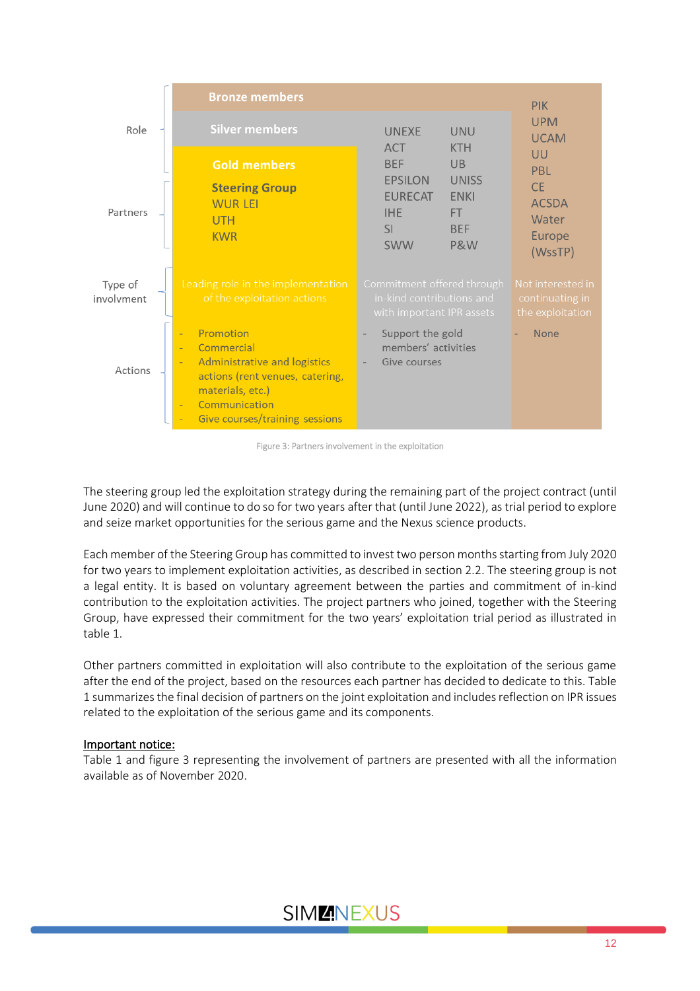

Figure 3: Partners involvement in the exploitation

<span id="page-11-0"></span>The steering group led the exploitation strategy during the remaining part of the project contract (until June 2020) and will continue to do so for two years after that (until June 2022), as trial period to explore and seize market opportunities for the serious game and the Nexus science products.

Each member of the Steering Group has committed to invest two person months starting from July 2020 for two years to implement exploitation activities, as described in section 2.2. The steering group is not a legal entity. It is based on voluntary agreement between the parties and commitment of in-kind contribution to the exploitation activities. The project partners who joined, together with the Steering Group, have expressed their commitment for the two years' exploitation trial period as illustrated in table 1.

Other partners committed in exploitation will also contribute to the exploitation of the serious game after the end of the project, based on the resources each partner has decided to dedicate to this. Table 1 summarizes the final decision of partners on the joint exploitation and includes reflection on IPR issues related to the exploitation of the serious game and its components.

### Important notice:

Table 1 and figure 3 representing the involvement of partners are presented with all the information available as of November 2020.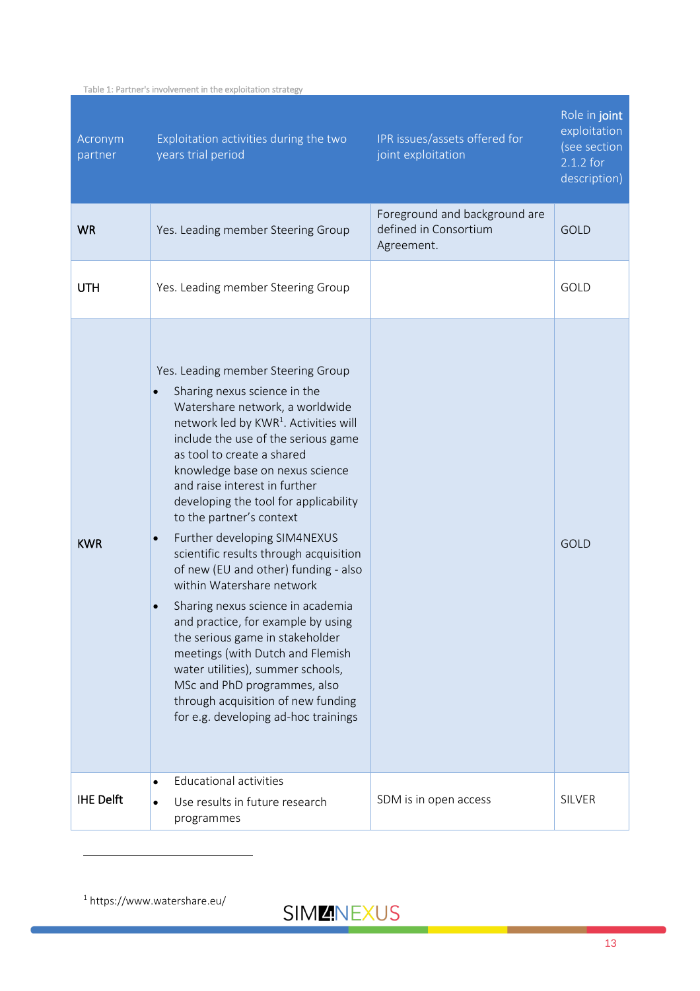<span id="page-12-0"></span>

| Table 1: Partner's involvement in the exploitation strategy |
|-------------------------------------------------------------|
|-------------------------------------------------------------|

| Acronym<br>partner | Exploitation activities during the two<br>years trial period                                                                                                                                                                                                                                                                                                                                                                                                                                                                                                                                                                                                                                                                                                                                                                                                        | IPR issues/assets offered for<br>joint exploitation                  | Role in joint<br>exploitation<br>(see section<br>$2.1.2$ for<br>description) |
|--------------------|---------------------------------------------------------------------------------------------------------------------------------------------------------------------------------------------------------------------------------------------------------------------------------------------------------------------------------------------------------------------------------------------------------------------------------------------------------------------------------------------------------------------------------------------------------------------------------------------------------------------------------------------------------------------------------------------------------------------------------------------------------------------------------------------------------------------------------------------------------------------|----------------------------------------------------------------------|------------------------------------------------------------------------------|
| <b>WR</b>          | Yes. Leading member Steering Group                                                                                                                                                                                                                                                                                                                                                                                                                                                                                                                                                                                                                                                                                                                                                                                                                                  | Foreground and background are<br>defined in Consortium<br>Agreement. | <b>GOLD</b>                                                                  |
| <b>UTH</b>         | Yes. Leading member Steering Group                                                                                                                                                                                                                                                                                                                                                                                                                                                                                                                                                                                                                                                                                                                                                                                                                                  |                                                                      | GOLD                                                                         |
| <b>KWR</b>         | Yes. Leading member Steering Group<br>Sharing nexus science in the<br>$\bullet$<br>Watershare network, a worldwide<br>network led by KWR <sup>1</sup> . Activities will<br>include the use of the serious game<br>as tool to create a shared<br>knowledge base on nexus science<br>and raise interest in further<br>developing the tool for applicability<br>to the partner's context<br>Further developing SIM4NEXUS<br>$\bullet$<br>scientific results through acquisition<br>of new (EU and other) funding - also<br>within Watershare network<br>Sharing nexus science in academia<br>$\bullet$<br>and practice, for example by using<br>the serious game in stakeholder<br>meetings (with Dutch and Flemish<br>water utilities), summer schools,<br>MSc and PhD programmes, also<br>through acquisition of new funding<br>for e.g. developing ad-hoc trainings |                                                                      | <b>GOLD</b>                                                                  |
| <b>IHE Delft</b>   | <b>Educational activities</b><br>$\bullet$<br>Use results in future research<br>$\bullet$<br>programmes                                                                                                                                                                                                                                                                                                                                                                                                                                                                                                                                                                                                                                                                                                                                                             | SDM is in open access                                                | <b>SILVER</b>                                                                |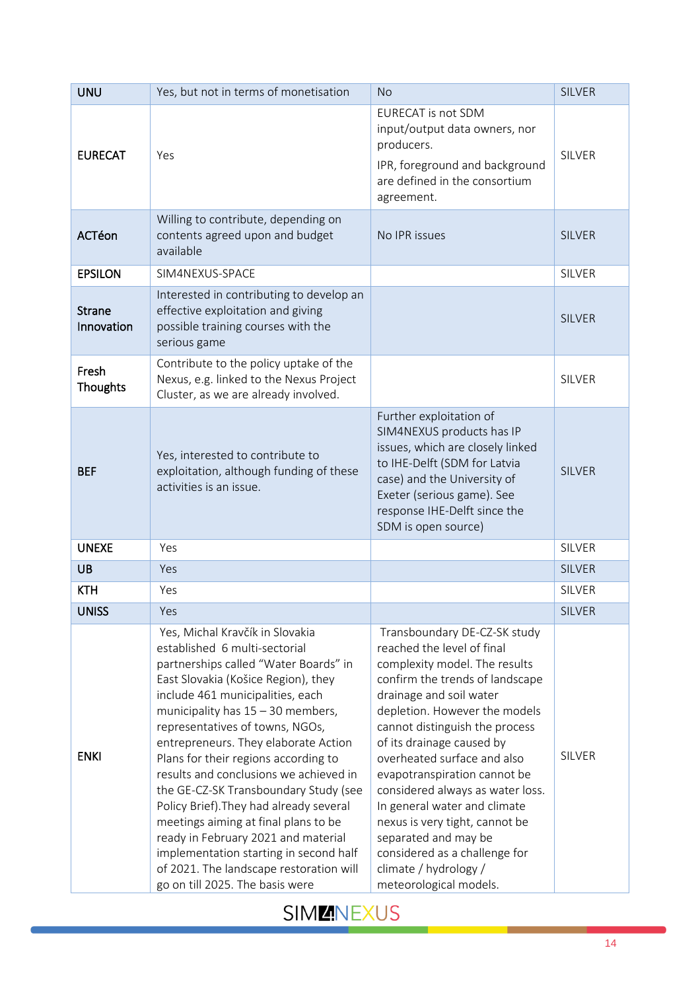| <b>UNU</b>                  | Yes, but not in terms of monetisation                                                                                                                                                                                                                                                                                                                                                                                                                                                                                                                                                                                                                                               | <b>No</b>                                                                                                                                                                                                                                                                                                                                                                                                                                                                                                                                  | <b>SILVER</b> |
|-----------------------------|-------------------------------------------------------------------------------------------------------------------------------------------------------------------------------------------------------------------------------------------------------------------------------------------------------------------------------------------------------------------------------------------------------------------------------------------------------------------------------------------------------------------------------------------------------------------------------------------------------------------------------------------------------------------------------------|--------------------------------------------------------------------------------------------------------------------------------------------------------------------------------------------------------------------------------------------------------------------------------------------------------------------------------------------------------------------------------------------------------------------------------------------------------------------------------------------------------------------------------------------|---------------|
| <b>EURECAT</b>              | Yes                                                                                                                                                                                                                                                                                                                                                                                                                                                                                                                                                                                                                                                                                 | <b>EURECAT is not SDM</b><br>input/output data owners, nor<br>producers.<br>IPR, foreground and background<br>are defined in the consortium<br>agreement.                                                                                                                                                                                                                                                                                                                                                                                  | <b>SILVER</b> |
| ACTéon                      | Willing to contribute, depending on<br>contents agreed upon and budget<br>available                                                                                                                                                                                                                                                                                                                                                                                                                                                                                                                                                                                                 | No IPR issues                                                                                                                                                                                                                                                                                                                                                                                                                                                                                                                              | <b>SILVER</b> |
| <b>EPSILON</b>              | SIM4NEXUS-SPACE                                                                                                                                                                                                                                                                                                                                                                                                                                                                                                                                                                                                                                                                     |                                                                                                                                                                                                                                                                                                                                                                                                                                                                                                                                            | SILVER        |
| <b>Strane</b><br>Innovation | Interested in contributing to develop an<br>effective exploitation and giving<br>possible training courses with the<br>serious game                                                                                                                                                                                                                                                                                                                                                                                                                                                                                                                                                 |                                                                                                                                                                                                                                                                                                                                                                                                                                                                                                                                            | <b>SILVER</b> |
| Fresh<br>Thoughts           | Contribute to the policy uptake of the<br>Nexus, e.g. linked to the Nexus Project<br>Cluster, as we are already involved.                                                                                                                                                                                                                                                                                                                                                                                                                                                                                                                                                           |                                                                                                                                                                                                                                                                                                                                                                                                                                                                                                                                            | <b>SILVER</b> |
| <b>BEF</b>                  | Yes, interested to contribute to<br>exploitation, although funding of these<br>activities is an issue.                                                                                                                                                                                                                                                                                                                                                                                                                                                                                                                                                                              | Further exploitation of<br>SIM4NEXUS products has IP<br>issues, which are closely linked<br>to IHE-Delft (SDM for Latvia<br>case) and the University of<br>Exeter (serious game). See<br>response IHE-Delft since the<br>SDM is open source)                                                                                                                                                                                                                                                                                               | <b>SILVER</b> |
| <b>UNEXE</b>                | Yes                                                                                                                                                                                                                                                                                                                                                                                                                                                                                                                                                                                                                                                                                 |                                                                                                                                                                                                                                                                                                                                                                                                                                                                                                                                            | <b>SILVER</b> |
| <b>UB</b>                   | Yes                                                                                                                                                                                                                                                                                                                                                                                                                                                                                                                                                                                                                                                                                 |                                                                                                                                                                                                                                                                                                                                                                                                                                                                                                                                            | <b>SILVER</b> |
| <b>KTH</b>                  | Yes                                                                                                                                                                                                                                                                                                                                                                                                                                                                                                                                                                                                                                                                                 |                                                                                                                                                                                                                                                                                                                                                                                                                                                                                                                                            | <b>SILVER</b> |
| <b>UNISS</b>                | Yes                                                                                                                                                                                                                                                                                                                                                                                                                                                                                                                                                                                                                                                                                 |                                                                                                                                                                                                                                                                                                                                                                                                                                                                                                                                            | <b>SILVER</b> |
| <b>ENKI</b>                 | Yes, Michal Kravčík in Slovakia<br>established 6 multi-sectorial<br>partnerships called "Water Boards" in<br>East Slovakia (Košice Region), they<br>include 461 municipalities, each<br>municipality has $15 - 30$ members,<br>representatives of towns, NGOs,<br>entrepreneurs. They elaborate Action<br>Plans for their regions according to<br>results and conclusions we achieved in<br>the GE-CZ-SK Transboundary Study (see<br>Policy Brief). They had already several<br>meetings aiming at final plans to be<br>ready in February 2021 and material<br>implementation starting in second half<br>of 2021. The landscape restoration will<br>go on till 2025. The basis were | Transboundary DE-CZ-SK study<br>reached the level of final<br>complexity model. The results<br>confirm the trends of landscape<br>drainage and soil water<br>depletion. However the models<br>cannot distinguish the process<br>of its drainage caused by<br>overheated surface and also<br>evapotranspiration cannot be<br>considered always as water loss.<br>In general water and climate<br>nexus is very tight, cannot be<br>separated and may be<br>considered as a challenge for<br>climate / hydrology /<br>meteorological models. | <b>SILVER</b> |

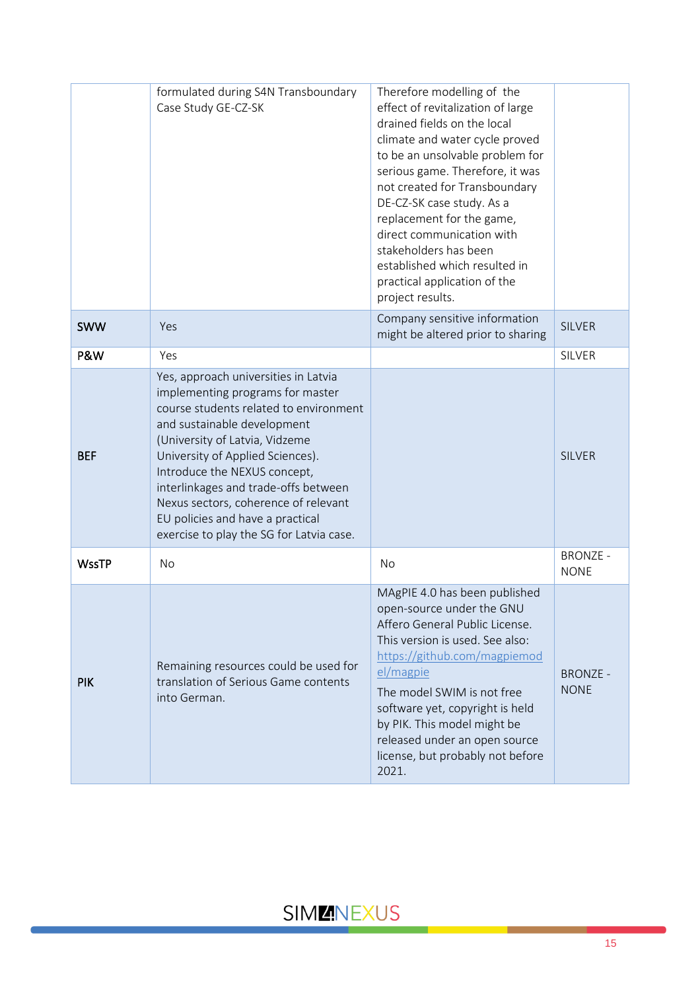|                | formulated during S4N Transboundary<br>Case Study GE-CZ-SK                                                                                                                                                                                                                                                                                                                                                              | Therefore modelling of the<br>effect of revitalization of large<br>drained fields on the local<br>climate and water cycle proved<br>to be an unsolvable problem for<br>serious game. Therefore, it was<br>not created for Transboundary<br>DE-CZ-SK case study. As a<br>replacement for the game,<br>direct communication with<br>stakeholders has been<br>established which resulted in<br>practical application of the<br>project results. |                                |
|----------------|-------------------------------------------------------------------------------------------------------------------------------------------------------------------------------------------------------------------------------------------------------------------------------------------------------------------------------------------------------------------------------------------------------------------------|----------------------------------------------------------------------------------------------------------------------------------------------------------------------------------------------------------------------------------------------------------------------------------------------------------------------------------------------------------------------------------------------------------------------------------------------|--------------------------------|
| <b>SWW</b>     | Yes                                                                                                                                                                                                                                                                                                                                                                                                                     | Company sensitive information<br>might be altered prior to sharing                                                                                                                                                                                                                                                                                                                                                                           | <b>SILVER</b>                  |
| <b>P&amp;W</b> | Yes                                                                                                                                                                                                                                                                                                                                                                                                                     |                                                                                                                                                                                                                                                                                                                                                                                                                                              | SILVER                         |
| <b>BEF</b>     | Yes, approach universities in Latvia<br>implementing programs for master<br>course students related to environment<br>and sustainable development<br>(University of Latvia, Vidzeme<br>University of Applied Sciences).<br>Introduce the NEXUS concept,<br>interlinkages and trade-offs between<br>Nexus sectors, coherence of relevant<br>EU policies and have a practical<br>exercise to play the SG for Latvia case. |                                                                                                                                                                                                                                                                                                                                                                                                                                              | <b>SILVER</b>                  |
| <b>WssTP</b>   | <b>No</b>                                                                                                                                                                                                                                                                                                                                                                                                               | No                                                                                                                                                                                                                                                                                                                                                                                                                                           | <b>BRONZE -</b><br><b>NONE</b> |
| <b>PIK</b>     | Remaining resources could be used for<br>translation of Serious Game contents<br>into German.                                                                                                                                                                                                                                                                                                                           | MAgPIE 4.0 has been published<br>open-source under the GNU<br>Affero General Public License.<br>This version is used. See also:<br>https://github.com/magpiemod<br>el/magpie<br>The model SWIM is not free<br>software yet, copyright is held<br>by PIK. This model might be<br>released under an open source<br>license, but probably not before<br>2021.                                                                                   | <b>BRONZE -</b><br><b>NONE</b> |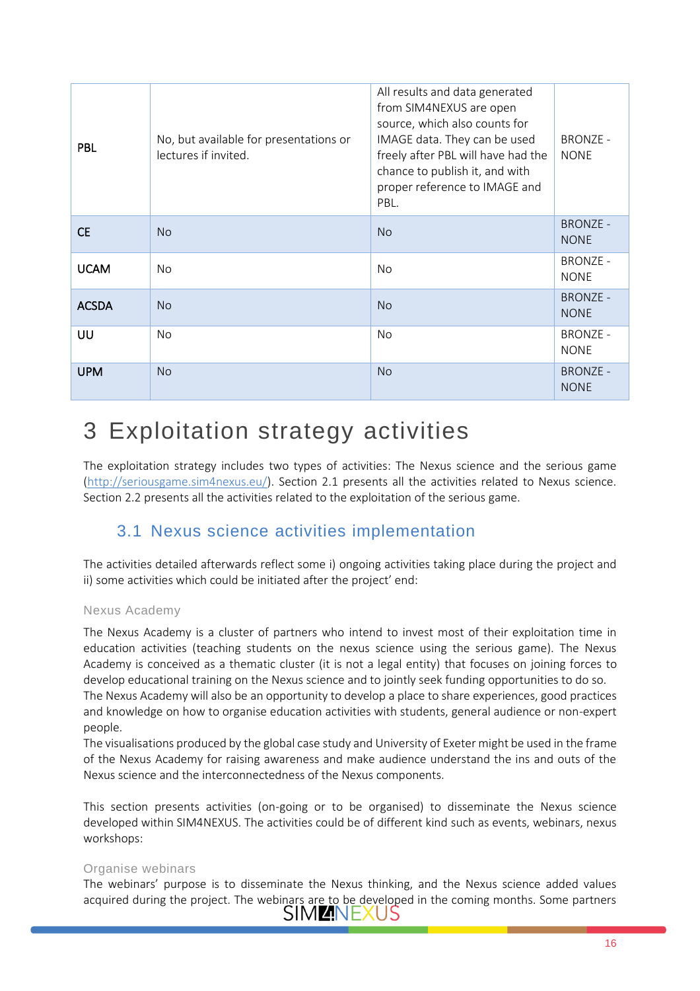| <b>PBL</b>   | No, but available for presentations or<br>lectures if invited. | All results and data generated<br>from SIM4NEXUS are open<br>source, which also counts for<br>IMAGE data. They can be used<br>freely after PBL will have had the<br>chance to publish it, and with<br>proper reference to IMAGE and<br>PBL. | <b>BRONZE -</b><br><b>NONE</b> |
|--------------|----------------------------------------------------------------|---------------------------------------------------------------------------------------------------------------------------------------------------------------------------------------------------------------------------------------------|--------------------------------|
| <b>CE</b>    | <b>No</b>                                                      | <b>No</b>                                                                                                                                                                                                                                   | <b>BRONZE -</b><br><b>NONE</b> |
| <b>UCAM</b>  | No.                                                            | No.                                                                                                                                                                                                                                         | <b>BRONZE -</b><br><b>NONE</b> |
| <b>ACSDA</b> | <b>No</b>                                                      | <b>No</b>                                                                                                                                                                                                                                   | <b>BRONZE -</b><br><b>NONE</b> |
| UU           | No.                                                            | No                                                                                                                                                                                                                                          | <b>BRONZE -</b><br><b>NONE</b> |
| <b>UPM</b>   | <b>No</b>                                                      | <b>No</b>                                                                                                                                                                                                                                   | <b>BRONZE -</b><br><b>NONE</b> |

# <span id="page-15-0"></span>3 Exploitation strategy activities

The exploitation strategy includes two types of activities: The Nexus science and the serious game [\(http://seriousgame.sim4nexus.eu/\)](http://seriousgame.sim4nexus.eu/). Section 2.1 presents all the activities related to Nexus science. Section 2.2 presents all the activities related to the exploitation of the serious game.

### 3.1 Nexus science activities implementation

<span id="page-15-1"></span>The activities detailed afterwards reflect some i) ongoing activities taking place during the project and ii) some activities which could be initiated after the project' end:

### Nexus Academy

The Nexus Academy is a cluster of partners who intend to invest most of their exploitation time in education activities (teaching students on the nexus science using the serious game). The Nexus Academy is conceived as a thematic cluster (it is not a legal entity) that focuses on joining forces to develop educational training on the Nexus science and to jointly seek funding opportunities to do so.

The Nexus Academy will also be an opportunity to develop a place to share experiences, good practices and knowledge on how to organise education activities with students, general audience or non-expert people.

The visualisations produced by the global case study and University of Exeter might be used in the frame of the Nexus Academy for raising awareness and make audience understand the ins and outs of the Nexus science and the interconnectedness of the Nexus components.

This section presents activities (on-going or to be organised) to disseminate the Nexus science developed within SIM4NEXUS. The activities could be of different kind such as events, webinars, nexus workshops:

### Organise webinars

The webinars' purpose is to disseminate the Nexus thinking, and the Nexus science added values acquired during the project. The webinars are to be developed in the coming months. Some partners  $SIMZNEXUS$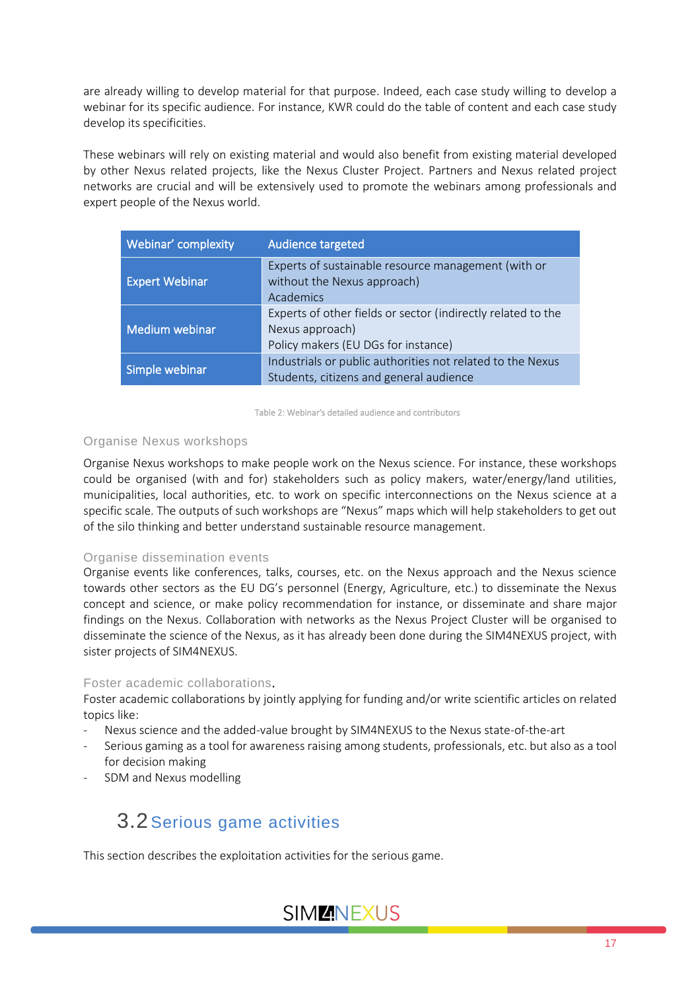are already willing to develop material for that purpose. Indeed, each case study willing to develop a webinar for its specific audience. For instance, KWR could do the table of content and each case study develop its specificities.

These webinars will rely on existing material and would also benefit from existing material developed by other Nexus related projects, like the Nexus Cluster Project. Partners and Nexus related project networks are crucial and will be extensively used to promote the webinars among professionals and expert people of the Nexus world.

| Webinar' complexity   | <b>Audience targeted</b>                                                                                               |
|-----------------------|------------------------------------------------------------------------------------------------------------------------|
| <b>Expert Webinar</b> | Experts of sustainable resource management (with or<br>without the Nexus approach)<br>Academics                        |
| Medium webinar        | Experts of other fields or sector (indirectly related to the<br>Nexus approach)<br>Policy makers (EU DGs for instance) |
| Simple webinar        | Industrials or public authorities not related to the Nexus<br>Students, citizens and general audience                  |

<span id="page-16-1"></span>Table 2: Webinar's detailed audience and contributors

### Organise Nexus workshops

Organise Nexus workshops to make people work on the Nexus science. For instance, these workshops could be organised (with and for) stakeholders such as policy makers, water/energy/land utilities, municipalities, local authorities, etc. to work on specific interconnections on the Nexus science at a specific scale. The outputs of such workshops are "Nexus" maps which will help stakeholders to get out of the silo thinking and better understand sustainable resource management.

#### Organise dissemination events

Organise events like conferences, talks, courses, etc. on the Nexus approach and the Nexus science towards other sectors as the EU DG's personnel (Energy, Agriculture, etc.) to disseminate the Nexus concept and science, or make policy recommendation for instance, or disseminate and share major findings on the Nexus. Collaboration with networks as the Nexus Project Cluster will be organised to disseminate the science of the Nexus, as it has already been done during the SIM4NEXUS project, with sister projects of SIM4NEXUS.

#### Foster academic collaborations.

Foster academic collaborations by jointly applying for funding and/or write scientific articles on related topics like:

- Nexus science and the added-value brought by SIM4NEXUS to the Nexus state-of-the-art
- Serious gaming as a tool for awareness raising among students, professionals, etc. but also as a tool for decision making
- SDM and Nexus modelling

## <span id="page-16-0"></span>3.2 Serious game activities

This section describes the exploitation activities for the serious game.

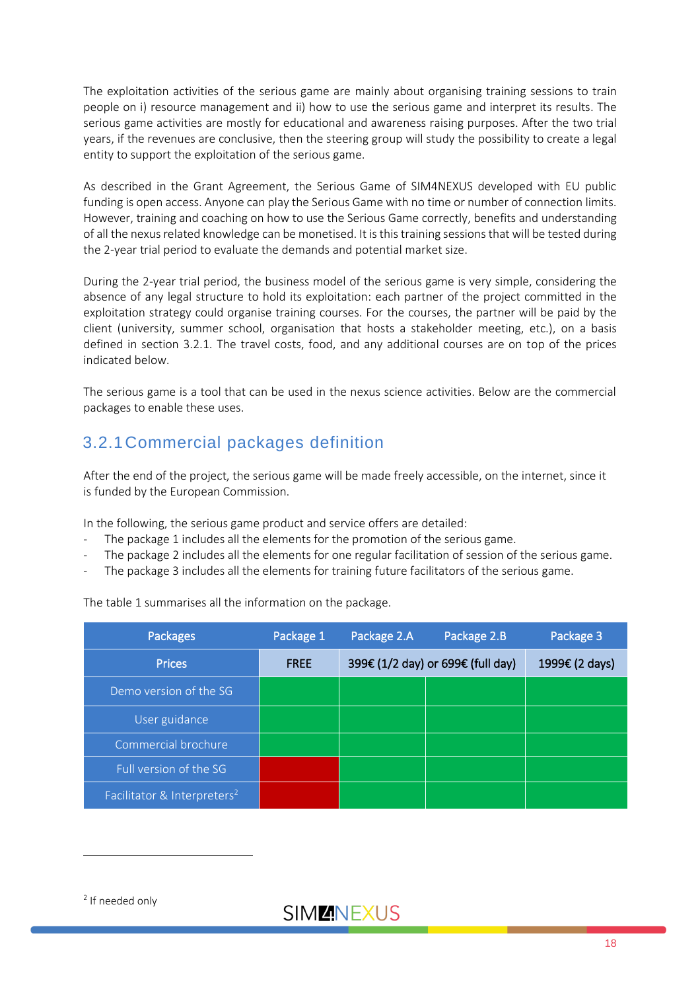The exploitation activities of the serious game are mainly about organising training sessions to train people on i) resource management and ii) how to use the serious game and interpret its results. The serious game activities are mostly for educational and awareness raising purposes. After the two trial years, if the revenues are conclusive, then the steering group will study the possibility to create a legal entity to support the exploitation of the serious game.

As described in the Grant Agreement, the Serious Game of SIM4NEXUS developed with EU public funding is open access. Anyone can play the Serious Game with no time or number of connection limits. However, training and coaching on how to use the Serious Game correctly, benefits and understanding of all the nexus related knowledge can be monetised. It is this training sessions that will be tested during the 2-year trial period to evaluate the demands and potential market size.

During the 2-year trial period, the business model of the serious game is very simple, considering the absence of any legal structure to hold its exploitation: each partner of the project committed in the exploitation strategy could organise training courses. For the courses, the partner will be paid by the client (university, summer school, organisation that hosts a stakeholder meeting, etc.), on a basis defined in section 3.2.1. The travel costs, food, and any additional courses are on top of the prices indicated below.

The serious game is a tool that can be used in the nexus science activities. Below are the commercial packages to enable these uses.

### <span id="page-17-0"></span>3.2.1Commercial packages definition

After the end of the project, the serious game will be made freely accessible, on the internet, since it is funded by the European Commission.

In the following, the serious game product and service offers are detailed:

- The package 1 includes all the elements for the promotion of the serious game.
- The package 2 includes all the elements for one regular facilitation of session of the serious game.
- The package 3 includes all the elements for training future facilitators of the serious game.

The table 1 summarises all the information on the package.

| <b>Packages</b>                         | Package 1   | Package 2.A | Package 2.B                       | Package 3      |
|-----------------------------------------|-------------|-------------|-----------------------------------|----------------|
| <b>Prices</b>                           | <b>FREE</b> |             | 399€ (1/2 day) or 699€ (full day) | 1999€ (2 days) |
| Demo version of the SG                  |             |             |                                   |                |
| User guidance                           |             |             |                                   |                |
| Commercial brochure                     |             |             |                                   |                |
| Full version of the SG                  |             |             |                                   |                |
| Facilitator & Interpreters <sup>2</sup> |             |             |                                   |                |

2 If needed only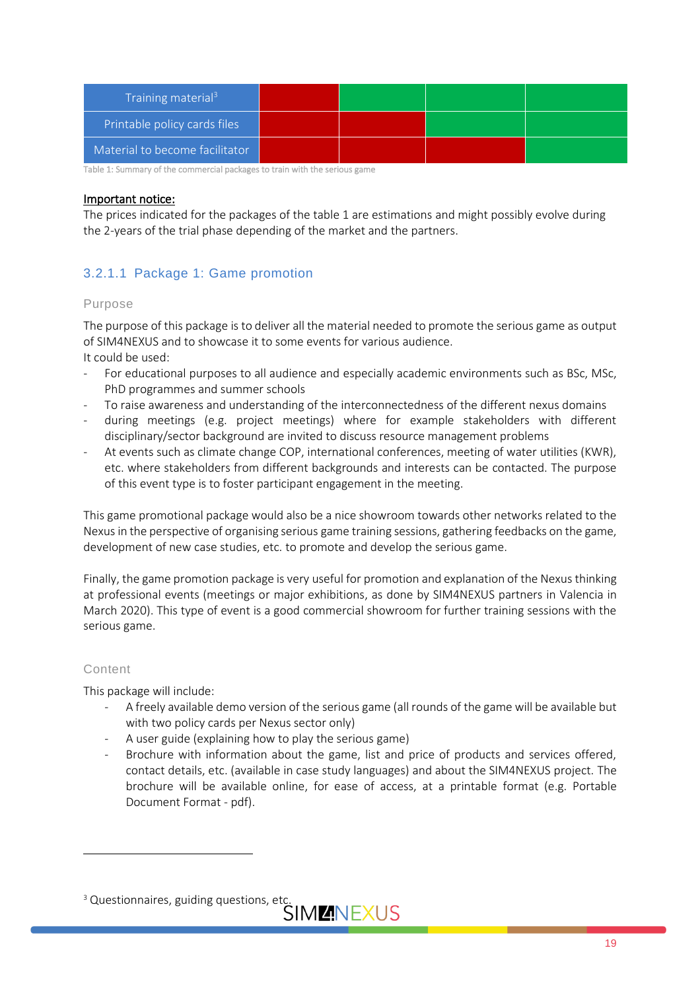| Training material <sup>3</sup> |  |  |
|--------------------------------|--|--|
| Printable policy cards files   |  |  |
| Material to become facilitator |  |  |

Table 1: Summary of the commercial packages to train with the serious game

#### Important notice:

The prices indicated for the packages of the table 1 are estimations and might possibly evolve during the 2-years of the trial phase depending of the market and the partners.

### 3.2.1.1 Package 1: Game promotion

### Purpose

The purpose of this package is to deliver all the material needed to promote the serious game as output of SIM4NEXUS and to showcase it to some events for various audience. It could be used:

- For educational purposes to all audience and especially academic environments such as BSc, MSc, PhD programmes and summer schools
- To raise awareness and understanding of the interconnectedness of the different nexus domains
- during meetings (e.g. project meetings) where for example stakeholders with different disciplinary/sector background are invited to discuss resource management problems
- At events such as climate change COP, international conferences, meeting of water utilities (KWR), etc. where stakeholders from different backgrounds and interests can be contacted. The purpose of this event type is to foster participant engagement in the meeting.

This game promotional package would also be a nice showroom towards other networks related to the Nexus in the perspective of organising serious game training sessions, gathering feedbacks on the game, development of new case studies, etc. to promote and develop the serious game.

Finally, the game promotion package is very useful for promotion and explanation of the Nexus thinking at professional events (meetings or major exhibitions, as done by SIM4NEXUS partners in Valencia in March 2020). This type of event is a good commercial showroom for further training sessions with the serious game.

### Content

This package will include:

- A freely available demo version of the serious game (all rounds of the game will be available but with two policy cards per Nexus sector only)
- A user guide (explaining how to play the serious game)
- Brochure with information about the game, list and price of products and services offered, contact details, etc. (available in case study languages) and about the SIM4NEXUS project. The brochure will be available online, for ease of access, at a printable format (e.g. Portable Document Format - pdf).

<sup>&</sup>lt;sup>3</sup> Questionnaires, guiding questions, etc.<br>SIMLANEXUS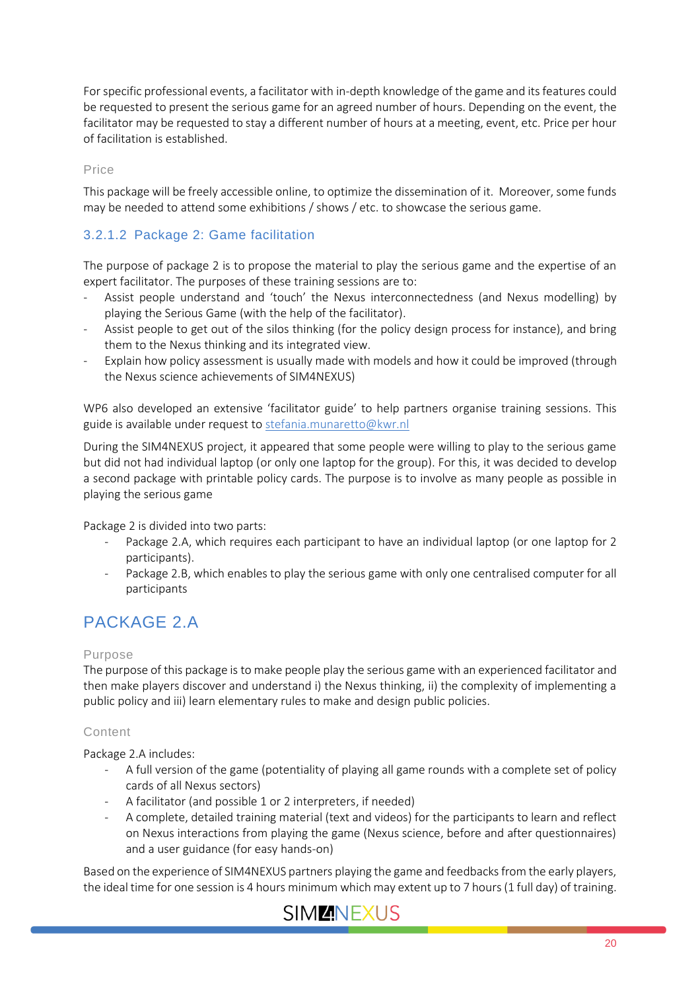For specific professional events, a facilitator with in-depth knowledge of the game and its features could be requested to present the serious game for an agreed number of hours. Depending on the event, the facilitator may be requested to stay a different number of hours at a meeting, event, etc. Price per hour of facilitation is established.

Price

This package will be freely accessible online, to optimize the dissemination of it. Moreover, some funds may be needed to attend some exhibitions / shows / etc. to showcase the serious game.

### 3.2.1.2 Package 2: Game facilitation

The purpose of package 2 is to propose the material to play the serious game and the expertise of an expert facilitator. The purposes of these training sessions are to:

- Assist people understand and 'touch' the Nexus interconnectedness (and Nexus modelling) by playing the Serious Game (with the help of the facilitator).
- Assist people to get out of the silos thinking (for the policy design process for instance), and bring them to the Nexus thinking and its integrated view.
- Explain how policy assessment is usually made with models and how it could be improved (through the Nexus science achievements of SIM4NEXUS)

WP6 also developed an extensive 'facilitator guide' to help partners organise training sessions. This guide is available under request t[o stefania.munaretto@kwr.nl](mailto:stefania.munaretto@kwr.nl)

During the SIM4NEXUS project, it appeared that some people were willing to play to the serious game but did not had individual laptop (or only one laptop for the group). For this, it was decided to develop a second package with printable policy cards. The purpose is to involve as many people as possible in playing the serious game

Package 2 is divided into two parts:

- Package 2.A, which requires each participant to have an individual laptop (or one laptop for 2 participants).
- Package 2.B, which enables to play the serious game with only one centralised computer for all participants

### PACKAGE 2.A

### Purpose

The purpose of this package is to make people play the serious game with an experienced facilitator and then make players discover and understand i) the Nexus thinking, ii) the complexity of implementing a public policy and iii) learn elementary rules to make and design public policies.

### Content

Package 2.A includes:

- A full version of the game (potentiality of playing all game rounds with a complete set of policy cards of all Nexus sectors)
- A facilitator (and possible 1 or 2 interpreters, if needed)
- A complete, detailed training material (text and videos) for the participants to learn and reflect on Nexus interactions from playing the game (Nexus science, before and after questionnaires) and a user guidance (for easy hands-on)

Based on the experience of SIM4NEXUS partners playing the game and feedbacks from the early players, the ideal time for one session is 4 hours minimum which may extent up to 7 hours (1 full day) of training.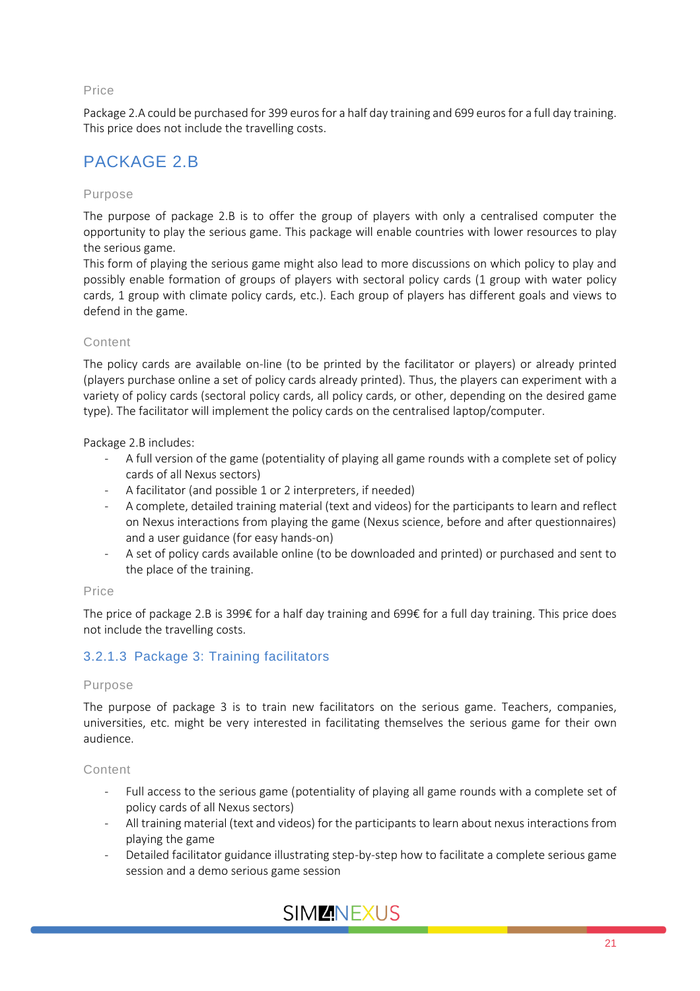### Price

Package 2.A could be purchased for 399 euros for a half day training and 699 eurosfor a full day training. This price does not include the travelling costs.

### PACKAGE 2.B

### Purpose

The purpose of package 2.B is to offer the group of players with only a centralised computer the opportunity to play the serious game. This package will enable countries with lower resources to play the serious game.

This form of playing the serious game might also lead to more discussions on which policy to play and possibly enable formation of groups of players with sectoral policy cards (1 group with water policy cards, 1 group with climate policy cards, etc.). Each group of players has different goals and views to defend in the game.

### Content

The policy cards are available on-line (to be printed by the facilitator or players) or already printed (players purchase online a set of policy cards already printed). Thus, the players can experiment with a variety of policy cards (sectoral policy cards, all policy cards, or other, depending on the desired game type). The facilitator will implement the policy cards on the centralised laptop/computer.

Package 2.B includes:

- A full version of the game (potentiality of playing all game rounds with a complete set of policy cards of all Nexus sectors)
- A facilitator (and possible 1 or 2 interpreters, if needed)
- A complete, detailed training material (text and videos) for the participants to learn and reflect on Nexus interactions from playing the game (Nexus science, before and after questionnaires) and a user guidance (for easy hands-on)
- A set of policy cards available online (to be downloaded and printed) or purchased and sent to the place of the training.

#### Price

The price of package 2.B is 399€ for a half day training and 699€ for a full day training. This price does not include the travelling costs.

### 3.2.1.3 Package 3: Training facilitators

#### Purpose

The purpose of package 3 is to train new facilitators on the serious game. Teachers, companies, universities, etc. might be very interested in facilitating themselves the serious game for their own audience.

#### Content

- Full access to the serious game (potentiality of playing all game rounds with a complete set of policy cards of all Nexus sectors)
- All training material (text and videos) for the participants to learn about nexus interactions from playing the game
- Detailed facilitator guidance illustrating step-by-step how to facilitate a complete serious game session and a demo serious game session

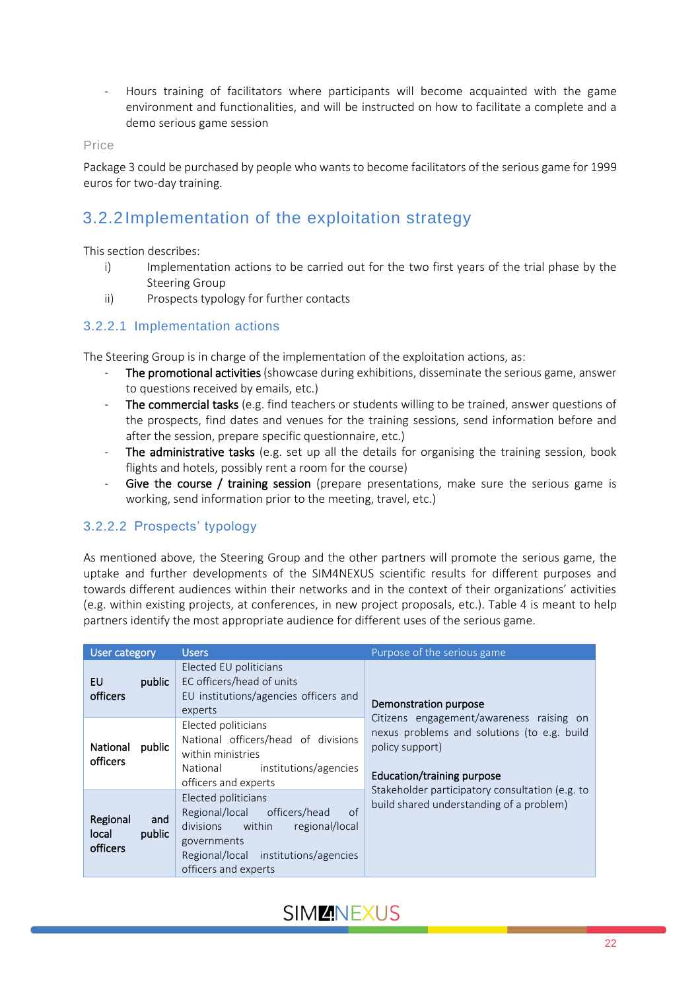- Hours training of facilitators where participants will become acquainted with the game environment and functionalities, and will be instructed on how to facilitate a complete and a demo serious game session

Price

Package 3 could be purchased by people who wants to become facilitators of the serious game for 1999 euros for two-day training.

### <span id="page-21-0"></span>3.2.2Implementation of the exploitation strategy

This section describes:

- i) Implementation actions to be carried out for the two first years of the trial phase by the Steering Group
- ii) Prospects typology for further contacts

### 3.2.2.1 Implementation actions

The Steering Group is in charge of the implementation of the exploitation actions, as:

- The promotional activities (showcase during exhibitions, disseminate the serious game, answer to questions received by emails, etc.)
- The commercial tasks (e.g. find teachers or students willing to be trained, answer questions of the prospects, find dates and venues for the training sessions, send information before and after the session, prepare specific questionnaire, etc.)
- The administrative tasks (e.g. set up all the details for organising the training session, book flights and hotels, possibly rent a room for the course)
- Give the course / training session (prepare presentations, make sure the serious game is working, send information prior to the meeting, travel, etc.)

### 3.2.2.2 Prospects' typology

As mentioned above, the Steering Group and the other partners will promote the serious game, the uptake and further developments of the SIM4NEXUS scientific results for different purposes and towards different audiences within their networks and in the context of their organizations' activities (e.g. within existing projects, at conferences, in new project proposals, etc.). Table 4 is meant to help partners identify the most appropriate audience for different uses of the serious game.

| <b>User category</b>                 |               | <b>Users</b>                                                                                                                                                                      | Purpose of the serious game                                                                                                                     |
|--------------------------------------|---------------|-----------------------------------------------------------------------------------------------------------------------------------------------------------------------------------|-------------------------------------------------------------------------------------------------------------------------------------------------|
| EU<br><b>officers</b>                | public        | Elected EU politicians<br>EC officers/head of units<br>EU institutions/agencies officers and<br>experts                                                                           | Demonstration purpose                                                                                                                           |
| National<br>officers                 | public        | Elected politicians<br>National officers/head of divisions<br>within ministries<br>institutions/agencies<br>National<br>officers and experts                                      | Citizens engagement/awareness raising on<br>nexus problems and solutions (to e.g. build<br>policy support)<br><b>Education/training purpose</b> |
| Regional<br>local<br><b>officers</b> | and<br>public | Elected politicians<br>of<br>Regional/local<br>officers/head<br>divisions within<br>regional/local<br>governments<br>Regional/local institutions/agencies<br>officers and experts | Stakeholder participatory consultation (e.g. to<br>build shared understanding of a problem)                                                     |

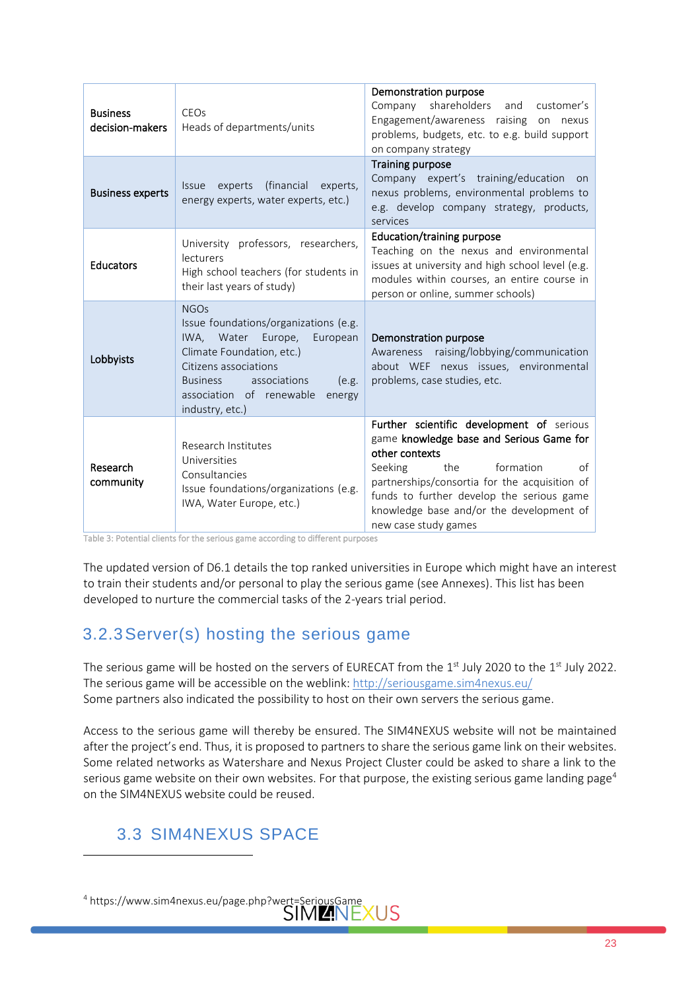| <b>Business</b><br>decision-makers | CEO <sub>s</sub><br>Heads of departments/units                                                                                                                                                                                                    | Demonstration purpose<br>Company shareholders<br>and customer's<br>Engagement/awareness raising on nexus<br>problems, budgets, etc. to e.g. build support<br>on company strategy                                                                                                                               |
|------------------------------------|---------------------------------------------------------------------------------------------------------------------------------------------------------------------------------------------------------------------------------------------------|----------------------------------------------------------------------------------------------------------------------------------------------------------------------------------------------------------------------------------------------------------------------------------------------------------------|
| <b>Business experts</b>            | (financial<br>experts<br>experts,<br><b>Issue</b><br>energy experts, water experts, etc.)                                                                                                                                                         | <b>Training purpose</b><br>Company expert's training/education on<br>nexus problems, environmental problems to<br>e.g. develop company strategy, products,<br>services                                                                                                                                         |
| Educators                          | University professors, researchers,<br>lecturers<br>High school teachers (for students in<br>their last years of study)                                                                                                                           | <b>Education/training purpose</b><br>Teaching on the nexus and environmental<br>issues at university and high school level (e.g.<br>modules within courses, an entire course in<br>person or online, summer schools)                                                                                           |
| Lobbyists                          | <b>NGOs</b><br>Issue foundations/organizations (e.g.<br>IWA, Water Europe,<br>European<br>Climate Foundation, etc.)<br>Citizens associations<br><b>Business</b><br>associations<br>(e.g.<br>association of renewable<br>energy<br>industry, etc.) | Demonstration purpose<br>Awareness raising/lobbying/communication<br>about WEF nexus issues, environmental<br>problems, case studies, etc.                                                                                                                                                                     |
| Research<br>community              | Research Institutes<br>Universities<br>Consultancies<br>Issue foundations/organizations (e.g.<br>IWA, Water Europe, etc.)                                                                                                                         | Further scientific development of serious<br>game knowledge base and Serious Game for<br>other contexts<br>Seeking<br>the<br>formation<br>of<br>partnerships/consortia for the acquisition of<br>funds to further develop the serious game<br>knowledge base and/or the development of<br>new case study games |

<span id="page-22-2"></span>Table 3: Potential clients for the serious game according to different purposes

The updated version of D6.1 details the top ranked universities in Europe which might have an interest to train their students and/or personal to play the serious game (see Annexes). This list has been developed to nurture the commercial tasks of the 2-years trial period.

### <span id="page-22-0"></span>3.2.3Server(s) hosting the serious game

The serious game will be hosted on the servers of EURECAT from the 1st July 2020 to the 1st July 2022. The serious game will be accessible on the weblink: http://seriousgame.sim4nexus.eu/ Some partners also indicated the possibility to host on their own servers the serious game.

Access to the serious game will thereby be ensured. The SIM4NEXUS website will not be maintained after the project's end. Thus, it is proposed to partners to share the serious game link on their websites. Some related networks as Watershare and Nexus Project Cluster could be asked to share a link to the serious game website on their own websites. For that purpose, the existing serious game landing page<sup>4</sup> on the SIM4NEXUS website could be reused.

### <span id="page-22-1"></span>3.3 SIM4NEXUS SPACE

<sup>4</sup> https://www.sim4nexus.eu/page.php?wert=SeriousGame<br>SIM ANEXUS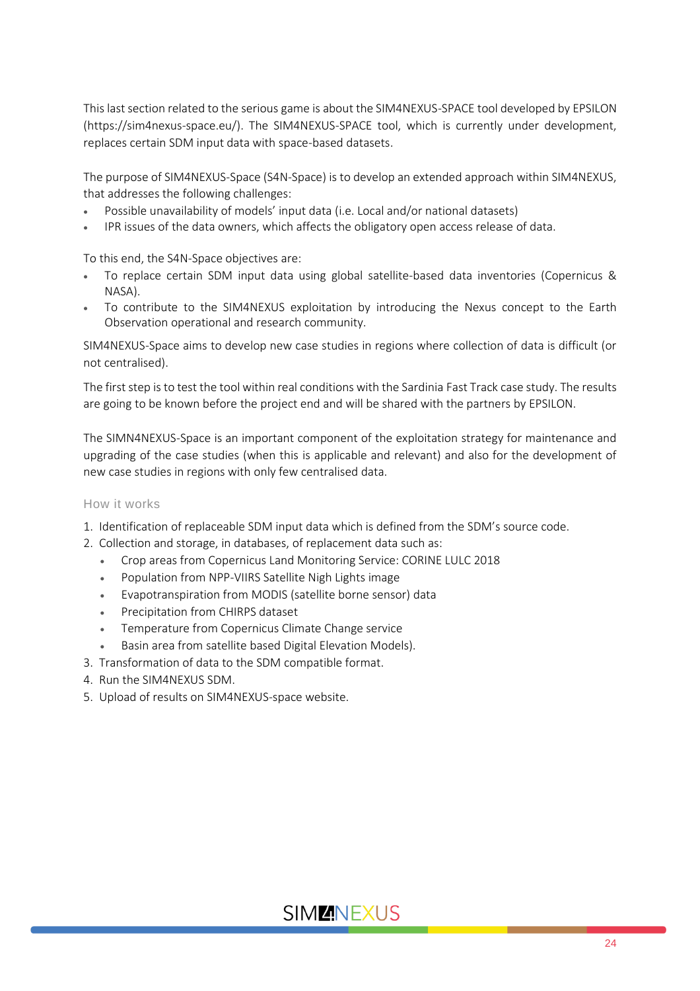This last section related to the serious game is about the SIM4NEXUS-SPACE tool developed by EPSILON (https://sim4nexus-space.eu/). The SIM4NEXUS-SPACE tool, which is currently under development, replaces certain SDM input data with space-based datasets.

The purpose of SIM4NEXUS-Space (S4N-Space) is to develop an extended approach within SIM4NEXUS, that addresses the following challenges:

- Possible unavailability of models' input data (i.e. Local and/or national datasets)
- IPR issues of the data owners, which affects the obligatory open access release of data.

To this end, the S4N-Space objectives are:

- To replace certain SDM input data using global satellite-based data inventories (Copernicus & NASA).
- To contribute to the SIM4NEXUS exploitation by introducing the Nexus concept to the Earth Observation operational and research community.

SIM4NEXUS-Space aims to develop new case studies in regions where collection of data is difficult (or not centralised).

The first step is to test the tool within real conditions with the Sardinia Fast Track case study. The results are going to be known before the project end and will be shared with the partners by EPSILON.

The SIMN4NEXUS-Space is an important component of the exploitation strategy for maintenance and upgrading of the case studies (when this is applicable and relevant) and also for the development of new case studies in regions with only few centralised data.

#### How it works

- 1. Identification of replaceable SDM input data which is defined from the SDM's source code.
- 2. Collection and storage, in databases, of replacement data such as:
	- Crop areas from Copernicus Land Monitoring Service: CORINE LULC 2018
	- Population from NPP-VIIRS Satellite Nigh Lights image
	- Evapotranspiration from MODIS (satellite borne sensor) data
	- Precipitation from CHIRPS dataset
	- Temperature from Copernicus Climate Change service
	- Basin area from satellite based Digital Elevation Models).
- 3. Transformation of data to the SDM compatible format.
- 4. Run the SIM4NEXUS SDM.
- 5. Upload of results on SIM4NEXUS-space website.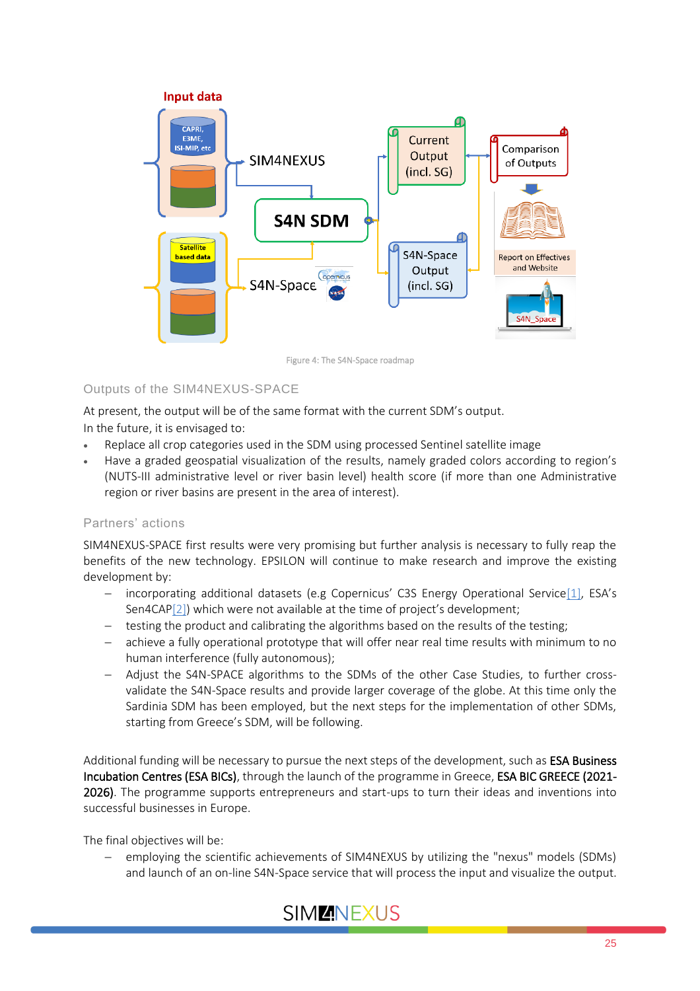

Figure 4: The S4N-Space roadmap

### <span id="page-24-0"></span>Outputs of the SIM4NEXUS-SPACE

At present, the output will be of the same format with the current SDM's output.

In the future, it is envisaged to:

- Replace all crop categories used in the SDM using processed Sentinel satellite image
- Have a graded geospatial visualization of the results, namely graded colors according to region's (NUTS-III administrative level or river basin level) health score (if more than one Administrative region or river basins are present in the area of interest).

### Partners' actions

SIM4NEXUS-SPACE first results were very promising but further analysis is necessary to fully reap the benefits of the new technology. EPSILON will continue to make research and improve the existing development by:

- − incorporating additional datasets (e.g Copernicus' C3S Energy Operational Service[\[1\]](https://outlook.office.com/mail/compose/AQMkAGJkNGYzZDIzLTc4MDUtNDY1ZS04YTE2LThmNWNiZTMxN2NlZgBGAAADsvcA0q4fEUOn4I0fgs9b0wcAHhQjt6wMoU%2B1YlRHAlcsowAAAgEPAAAAHhQjt6wMoU%2B1YlRHAlcsowADdxU9uwAAAA%3D%3D#_ftn1), ESA's Sen4CA[P\[2\]](https://outlook.office.com/mail/compose/AQMkAGJkNGYzZDIzLTc4MDUtNDY1ZS04YTE2LThmNWNiZTMxN2NlZgBGAAADsvcA0q4fEUOn4I0fgs9b0wcAHhQjt6wMoU%2B1YlRHAlcsowAAAgEPAAAAHhQjt6wMoU%2B1YlRHAlcsowADdxU9uwAAAA%3D%3D#_ftn2)) which were not available at the time of project's development;
- − testing the product and calibrating the algorithms based on the results of the testing;
- achieve a fully operational prototype that will offer near real time results with minimum to no human interference (fully autonomous);
- − Adjust the S4N-SPACE algorithms to the SDMs of the other Case Studies, to further crossvalidate the S4N-Space results and provide larger coverage of the globe. At this time only the Sardinia SDM has been employed, but the next steps for the implementation of other SDMs, starting from Greece's SDM, will be following.

Additional funding will be necessary to pursue the next steps of the development, such as ESA Business Incubation Centres (ESA BICs), through the launch of the programme in Greece, ESA BIC GREECE (2021- 2026). The programme supports entrepreneurs and start-ups to turn their ideas and inventions into successful businesses in Europe.

The final objectives will be:

employing the scientific achievements of SIM4NEXUS by utilizing the "nexus" models (SDMs) and launch of an on-line S4N-Space service that will process the input and visualize the output.

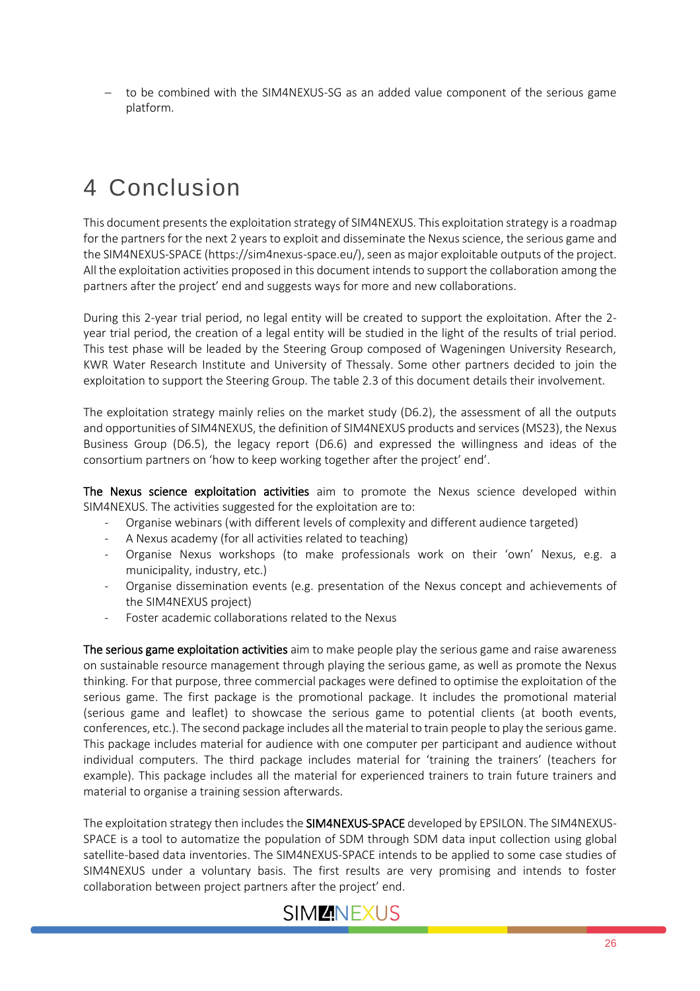to be combined with the SIM4NEXUS-SG as an added value component of the serious game platform.

# <span id="page-25-0"></span>4 Conclusion

This document presents the exploitation strategy of SIM4NEXUS. This exploitation strategy is a roadmap for the partners for the next 2 years to exploit and disseminate the Nexus science, the serious game and the SIM4NEXUS-SPACE (https://sim4nexus-space.eu/), seen as major exploitable outputs of the project. All the exploitation activities proposed in this document intends to support the collaboration among the partners after the project' end and suggests ways for more and new collaborations.

During this 2-year trial period, no legal entity will be created to support the exploitation. After the 2 year trial period, the creation of a legal entity will be studied in the light of the results of trial period. This test phase will be leaded by the Steering Group composed of Wageningen University Research, KWR Water Research Institute and University of Thessaly. Some other partners decided to join the exploitation to support the Steering Group. The table 2.3 of this document details their involvement.

The exploitation strategy mainly relies on the market study (D6.2), the assessment of all the outputs and opportunities of SIM4NEXUS, the definition of SIM4NEXUS products and services (MS23), the Nexus Business Group (D6.5), the legacy report (D6.6) and expressed the willingness and ideas of the consortium partners on 'how to keep working together after the project' end'.

The Nexus science exploitation activities aim to promote the Nexus science developed within SIM4NEXUS. The activities suggested for the exploitation are to:

- Organise webinars (with different levels of complexity and different audience targeted)
- A Nexus academy (for all activities related to teaching)
- Organise Nexus workshops (to make professionals work on their 'own' Nexus, e.g. a municipality, industry, etc.)
- Organise dissemination events (e.g. presentation of the Nexus concept and achievements of the SIM4NEXUS project)
- Foster academic collaborations related to the Nexus

The serious game exploitation activities aim to make people play the serious game and raise awareness on sustainable resource management through playing the serious game, as well as promote the Nexus thinking. For that purpose, three commercial packages were defined to optimise the exploitation of the serious game. The first package is the promotional package. It includes the promotional material (serious game and leaflet) to showcase the serious game to potential clients (at booth events, conferences, etc.). The second package includes all the material to train people to play the serious game. This package includes material for audience with one computer per participant and audience without individual computers. The third package includes material for 'training the trainers' (teachers for example). This package includes all the material for experienced trainers to train future trainers and material to organise a training session afterwards.

The exploitation strategy then includes the SIM4NEXUS-SPACE developed by EPSILON. The SIM4NEXUS-SPACE is a tool to automatize the population of SDM through SDM data input collection using global satellite-based data inventories. The SIM4NEXUS-SPACE intends to be applied to some case studies of SIM4NEXUS under a voluntary basis. The first results are very promising and intends to foster collaboration between project partners after the project' end.